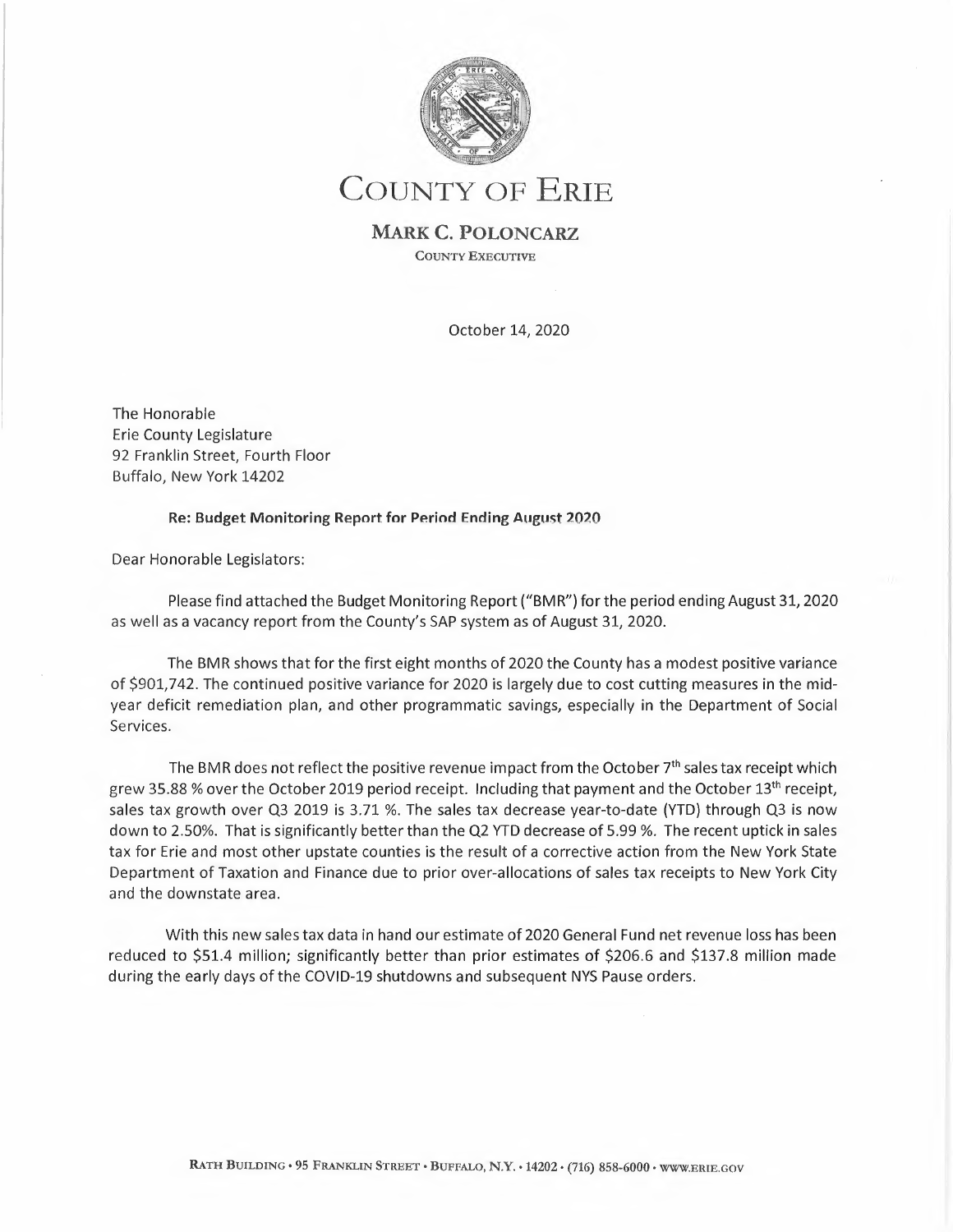

COUNTY OF ERIE

**MARK C. POLONCARZ**  COUNTY EXECUTIVE

October 14, 2020

The Honorable Erie County Legislature 92 Franklin Street, Fourth Floor Buffalo, New York 14202

## **Re: Budget Monitoring Report for Period Ending August 2020**

Dear Honorable Legislators:

Please find attached the Budget Monitoring Report ("BMR") for the period ending August 31, 2020 as well as a vacancy report from the County's SAP system as of August 31, 2020.

The BMR shows that for the first eight months of 2020 the County has a modest positive variance of \$901,742. The continued positive variance for 2020 is largely due to cost cutting measures in the midyear deficit remediation plan, and other programmatic savings, especially in the Department of Social Services.

The BMR does not reflect the positive revenue impact from the October 7<sup>th</sup> sales tax receipt which grew 35.88 % over the October 2019 period receipt. Including that payment and the October 13th receipt, sales tax growth over Q3 2019 is 3.71 %. The sales tax decrease year-to-date (YTD) through Q3 is now down to 2.50%. That is significantly better than the Q2 YTD decrease of 5.99 %. The recent uptick in sales tax for Erie and most other upstate counties is the result of a corrective action from the New York State Department of Taxation and Finance due to prior over-allocations of sales tax receipts to New York City and the downstate area.

With this new sales tax data in hand our estimate of 2020 General Fund net revenue loss has been reduced to \$51.4 million; significantly better than prior estimates of \$206.6 and \$137.8 million made during the early days of the COVID-19 shutdowns and subsequent NYS Pause orders.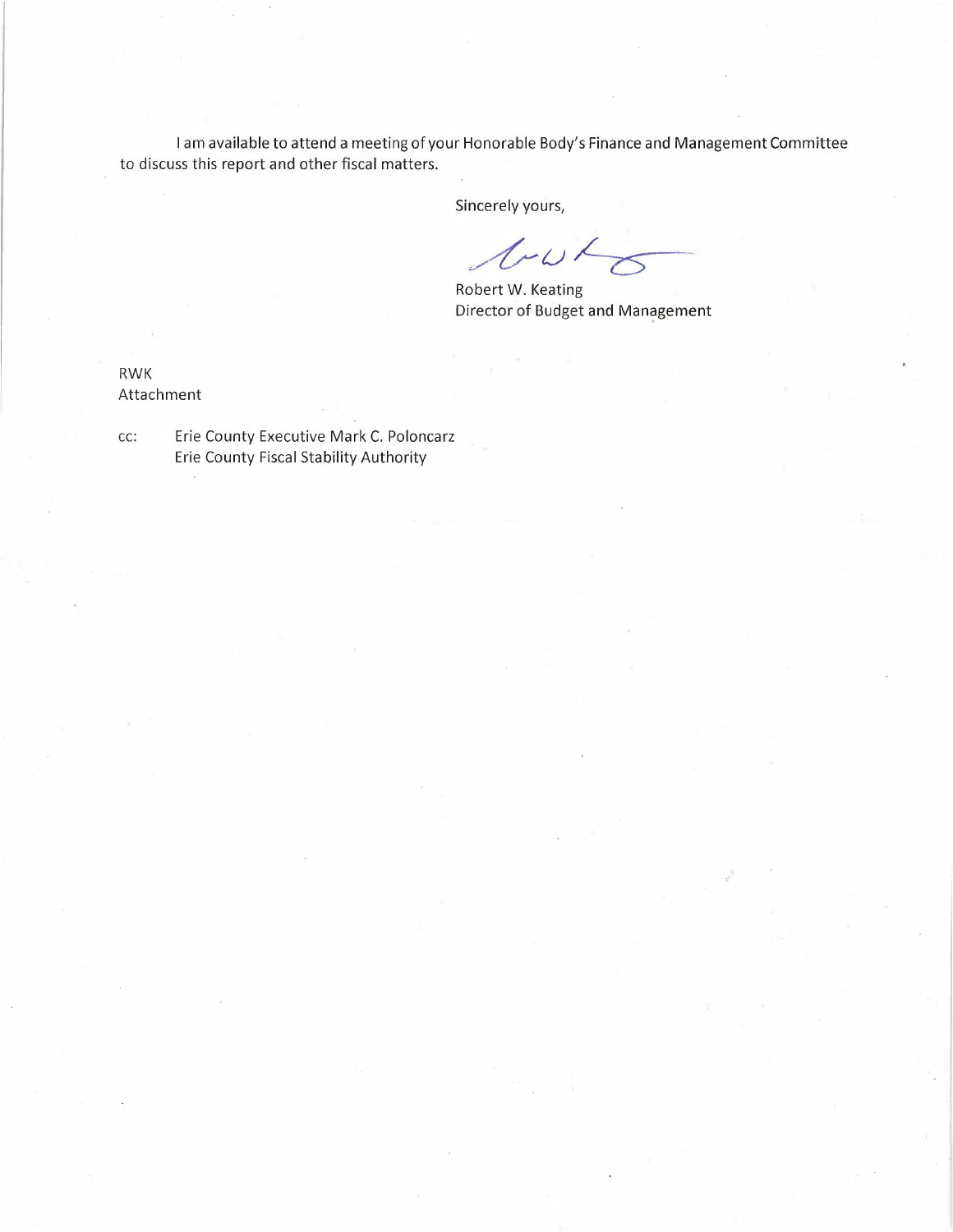I ani available to attend a meeting of your Honorable Body's Finance and Management Committee to discuss this report and other fiscal matters.

Sincerely yours,

losto

Robert W. Keating Director of Budget and Management

RWK Attachment

cc: Erie County Executive Mark C. Poloncarz Erie County Fiscal Stability Authority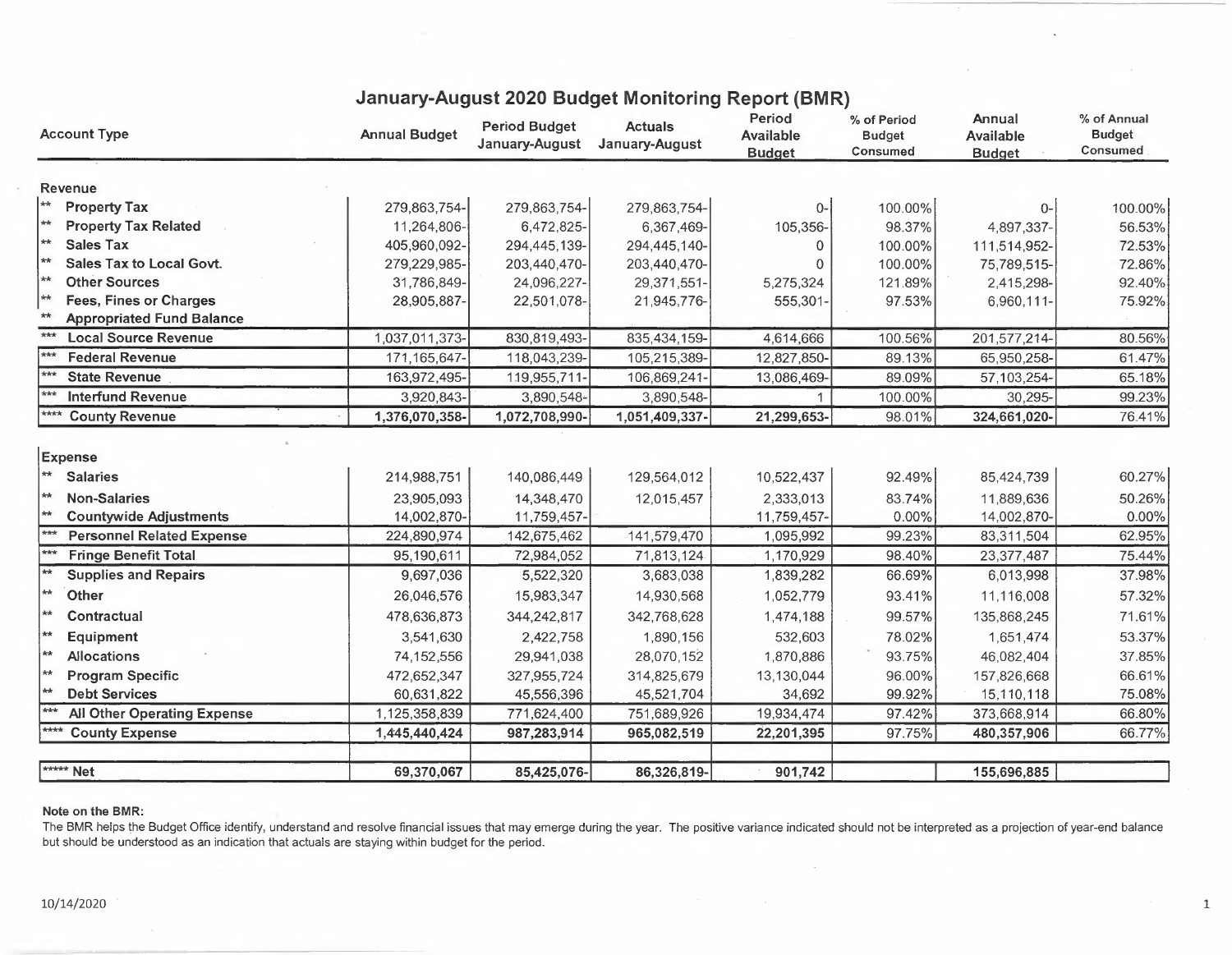| <b>Account Type</b>                                     | <b>Annual Budget</b> | <b>Period Budget</b><br>January-August | <b>Actuals</b><br>January-August | Period<br><b>Available</b><br><b>Budget</b> | % of Period<br><b>Budget</b><br>Consumed | Annual<br>Available<br><b>Budget</b> | % of Annual<br><b>Budget</b><br>Consumed |
|---------------------------------------------------------|----------------------|----------------------------------------|----------------------------------|---------------------------------------------|------------------------------------------|--------------------------------------|------------------------------------------|
| Revenue                                                 |                      |                                        |                                  |                                             |                                          |                                      |                                          |
| $\star\star$<br><b>Property Tax</b>                     | 279,863,754-         | 279,863,754-                           | 279,863,754-                     | $0-$                                        | 100.00%                                  | 0-                                   | 100.00%                                  |
| **<br><b>Property Tax Related</b>                       | 11,264,806-          | 6,472,825-                             | 6,367,469-                       | 105,356-                                    | 98.37%                                   | 4,897,337-                           | 56.53%                                   |
| $\star\star$<br><b>Sales Tax</b>                        | 405,960,092-         | 294,445,139-                           | 294,445,140-                     |                                             | 100.00%                                  | 111,514,952-                         | 72.53%                                   |
| $*$<br><b>Sales Tax to Local Govt.</b>                  | 279,229,985-         | 203,440,470-                           | 203,440,470-                     |                                             | 100.00%                                  | 75,789,515-                          | 72.86%                                   |
| $\star\star$<br><b>Other Sources</b>                    | 31,786,849-          | 24,096,227-                            | 29,371,551-                      | 5,275,324                                   | 121.89%                                  | 2,415,298-                           | 92.40%                                   |
| $\star\star$<br><b>Fees, Fines or Charges</b>           | 28,905,887-          | 22,501.078-                            | 21,945,776-                      | 555,301-                                    | 97.53%                                   | 6,960,111-                           | 75.92%                                   |
| $**$<br><b>Appropriated Fund Balance</b>                |                      |                                        |                                  |                                             |                                          |                                      |                                          |
| $***$<br><b>Local Source Revenue</b>                    | 1,037,011,373-       | 830,819,493-                           | 835,434,159-                     | 4,614,666                                   | 100.56%                                  | 201,577,214-                         | 80.56%                                   |
| $***$<br><b>Federal Revenue</b>                         | 171, 165, 647-       | 118,043,239-                           | 105,215,389-                     | 12,827,850-                                 | 89.13%                                   | 65,950,258-                          | 61.47%                                   |
| <b>State Revenue</b>                                    | 163,972,495-         | 119,955,711-                           | 106,869,241-                     | 13,086,469-                                 | 89.09%                                   | 57,103,254                           | 65.18%                                   |
| <b>Interfund Revenue</b>                                | 3,920,843-           | 3,890,548-                             | 3,890,548-                       |                                             | 100.00%                                  | 30,295                               | 99.23%                                   |
| ****<br><b>County Revenue</b>                           | 1,376,070,358-       | 1,072,708,990-                         | 1,051,409,337-                   | 21,299,653-                                 | 98.01%                                   | 324,661,020-                         | 76.41%                                   |
| Expense<br>$**$<br><b>Salaries</b>                      | 214,988,751          | 140,086,449                            | 129,564,012                      | 10,522,437                                  | 92.49%                                   | 85,424,739                           | 60.27%                                   |
| $**$<br><b>Non-Salaries</b>                             | 23,905,093           | 14,348,470                             | 12,015,457                       | 2,333,013                                   | 83.74%                                   | 11,889,636                           | 50.26%                                   |
| $*$<br><b>Countywide Adjustments</b>                    | 14,002,870-          | 11,759,457-                            |                                  | 11,759,457-                                 | 0.00%                                    | 14,002,870-                          | 0.00%                                    |
| <b>Personnel Related Expense</b>                        | 224,890,974          | 142,675,462                            | 141,579,470                      | 1,095,992                                   | 99.23%                                   | 83,311,504                           | 62.95%                                   |
| $***$<br><b>Fringe Benefit Total</b>                    | 95,190,611           | 72,984,052                             | 71,813,124                       | 1,170,929                                   | 98.40%                                   | 23,377,487                           | 75.44%                                   |
| $\overline{**}$<br><b>Supplies and Repairs</b>          | 9,697,036            | 5,522,320                              | 3,683,038                        | 1,839,282                                   | 66.69%                                   | 6,013,998                            | 37.98%                                   |
| $\star$<br>Other                                        | 26,046,576           | 15,983,347                             | 14,930,568                       | 1,052,779                                   | 93.41%                                   | 11,116,008                           | 57.32%                                   |
| $**$<br>Contractual                                     | 478,636,873          | 344,242,817                            | 342,768,628                      | 1,474,188                                   | 99.57%                                   | 135,868,245                          | 71.61%                                   |
| ╎⋇⋇<br>Equipment                                        | 3,541,630            | 2,422,758                              | 1,890,156                        | 532,603                                     | 78.02%                                   | 1,651,474                            | 53.37%                                   |
| $ **$<br><b>Allocations</b>                             | 74,152,556           | 29,941,038                             | 28,070,152                       | 1,870,886                                   | 93.75%                                   | 46,082,404                           | 37.85%                                   |
| $\left  \star \star \right $<br><b>Program Specific</b> | 472,652,347          | 327,955,724                            | 314,825,679                      | 13,130,044                                  | 96.00%                                   | 157,826,668                          | 66.61%                                   |
| $\left  \ast \right\rangle$<br><b>Debt Services</b>     | 60,631,822           | 45,556,396                             | 45,521,704                       | 34,692                                      | 99.92%                                   | 15,110,118                           | 75.08%                                   |
| <b>All Other Operating Expense</b>                      | ,125,358,839         | 771,624,400                            | 751,689,926                      | 19,934,474                                  | 97.42%                                   | 373,668,914                          | 66.80%                                   |
| <b>County Expense</b>                                   | 1,445,440,424        | 987,283,914                            | 965,082,519                      | 22,201,395                                  | 97.75%                                   | 480,357,906                          | 66.77%                                   |
|                                                         |                      |                                        |                                  |                                             |                                          |                                      |                                          |
| <b>*****</b> Net                                        | 69,370,067           | 85,425,076-                            | 86,326,819-                      | 901,742                                     |                                          | 155,696,885                          |                                          |

## **January-August 2020 Budget Monitoring Report (BMR)**

## **Note on the BMR:**

The BMR helps the Budget Office identify, understand and resolve financial issues that may emerge during the year. The positive variance indicated should not be interpreted as a projection of year-end balance but should be understood as an indication that actuals are staying within budget for the period.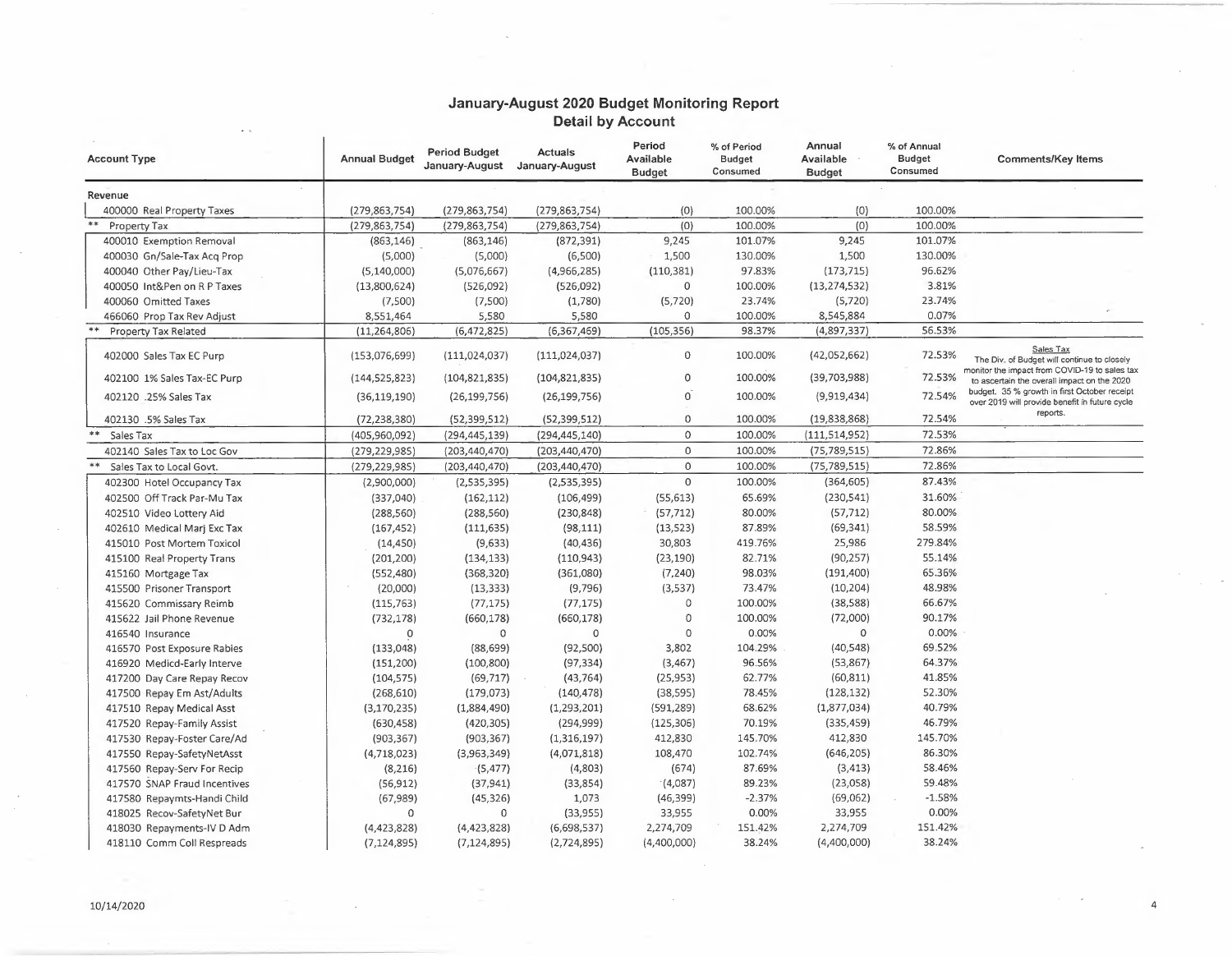## **January-August 2020 Budget Monitoring Report Detail by Account**

| <b>Account Type</b>          | <b>Annual Budget</b> | <b>Period Budget</b><br>January-August | <b>Actuals</b><br>January-August | Period<br>Available<br><b>Budget</b> | % of Period<br><b>Budget</b><br>Consumed | Annual<br>Available<br><b>Budget</b> | % of Annual<br><b>Budget</b><br>Consumed | <b>Comments/Key Items</b>                                                                                 |
|------------------------------|----------------------|----------------------------------------|----------------------------------|--------------------------------------|------------------------------------------|--------------------------------------|------------------------------------------|-----------------------------------------------------------------------------------------------------------|
| Revenue                      |                      |                                        |                                  |                                      |                                          |                                      |                                          |                                                                                                           |
| 400000 Real Property Taxes   | (279, 863, 754)      | (279, 863, 754)                        | (279, 863, 754)                  | (0)                                  | 100.00%                                  | (0)                                  | 100.00%                                  |                                                                                                           |
| **<br>Property Tax           | (279, 863, 754)      | (279, 863, 754)                        | (279, 863, 754)                  | (0)                                  | 100.00%                                  | (0)                                  | 100.00%                                  |                                                                                                           |
| 400010 Exemption Removal     | (863, 146)           | (863, 146)                             | (872, 391)                       | 9,245                                | 101.07%                                  | 9,245                                | 101.07%                                  |                                                                                                           |
| 400030 Gn/Sale-Tax Acq Prop  | (5,000)              | (5,000)                                | (6,500)                          | 1,500                                | 130.00%                                  | 1,500                                | 130.00%                                  |                                                                                                           |
| 400040 Other Pay/Lieu-Tax    | (5, 140, 000)        | (5,076,667)                            | (4,966,285)                      | (110, 381)                           | 97.83%                                   | (173, 715)                           | 96.62%                                   |                                                                                                           |
| 400050 Int&Pen on R P Taxes  | (13,800,624)         | (526,092)                              | (526,092)                        | $\mathbf 0$                          | 100.00%                                  | (13, 274, 532)                       | 3.81%                                    |                                                                                                           |
| 400060 Omitted Taxes         | (7,500)              | (7,500)                                | (1,780)                          | (5, 720)                             | 23.74%                                   | (5, 720)                             | 23.74%                                   |                                                                                                           |
| 466060 Prop Tax Rev Adjust   | 8,551,464            | 5,580                                  | 5,580                            | $\Omega$                             | 100.00%                                  | 8,545,884                            | 0.07%                                    |                                                                                                           |
| <b>Property Tax Related</b>  | (11, 264, 806)       | (6,472,825)                            | (6,367,469)                      | (105, 356)                           | 98.37%                                   | (4,897,337)                          | 56.53%                                   |                                                                                                           |
| 402000 Sales Tax EC Purp     | (153,076,699)        | (111, 024, 037)                        | (111, 024, 037)                  | $\mathbf 0$                          | 100.00%                                  | (42,052,662)                         | 72.53%                                   | Sales Tax<br>The Div. of Budget will continue to closely<br>monitor the impact from COVID-19 to sales tax |
| 402100 1% Sales Tax-EC Purp  | (144, 525, 823)      | (104, 821, 835)                        | (104, 821, 835)                  | $\circ$                              | 100.00%                                  | (39,703,988)                         | 72.53%                                   | to ascertain the overall impact on the 2020                                                               |
| 402120 .25% Sales Tax        | (36, 119, 190)       | (26, 199, 756)                         | (26, 199, 756)                   | $\overline{0}$                       | 100.00%                                  | (9,919,434)                          | 72.54%                                   | budget. 35 % growth in first October receipt<br>over 2019 will provide benefit in future cycle            |
| 402130 .5% Sales Tax         | (72, 238, 380)       | (52, 399, 512)                         | (52, 399, 512)                   | $\mathbf 0$                          | 100.00%                                  | (19,838,868)                         | 72.54%                                   | reports.                                                                                                  |
| **<br>Sales Tax              | (405,960,092)        | (294, 445, 139)                        | (294, 445, 140)                  | $\mathbf 0$                          | 100.00%                                  | (111, 514, 952)                      | 72.53%                                   |                                                                                                           |
| 402140 Sales Tax to Loc Gov  | (279, 229, 985)      | (203, 440, 470)                        | (203, 440, 470)                  | $\mathbf 0$                          | 100.00%                                  | (75, 789, 515)                       | 72.86%                                   |                                                                                                           |
| Sales Tax to Local Govt.     | (279, 229, 985)      | (203, 440, 470)                        | (203, 440, 470)                  | $\circ$                              | 100.00%                                  | (75, 789, 515)                       | 72.86%                                   |                                                                                                           |
| 402300 Hotel Occupancy Tax   | (2,900,000)          | (2,535,395)                            | (2,535,395)                      | $\mathsf{O}\xspace$                  | 100.00%                                  | (364, 605)                           | 87.43%                                   |                                                                                                           |
| 402500 Off Track Par-Mu Tax  | (337,040)            | (162, 112)                             | (106, 499)                       | (55, 613)                            | 65.69%                                   | (230, 541)                           | 31.60%                                   |                                                                                                           |
| 402510 Video Lottery Aid     | (288, 560)           | (288, 560)                             | (230, 848)                       | (57, 712)                            | 80.00%                                   | (57, 712)                            | 80.00%                                   |                                                                                                           |
| 402610 Medical Marj Exc Tax  | (167, 452)           | (111, 635)                             | (98, 111)                        | (13, 523)                            | 87.89%                                   | (69, 341)                            | 58.59%                                   |                                                                                                           |
| 415010 Post Mortem Toxicol   | (14, 450)            | (9,633)                                | (40, 436)                        | 30,803                               | 419.76%                                  | 25,986                               | 279.84%                                  |                                                                                                           |
| 415100 Real Property Trans   | (201, 200)           | (134, 133)                             | (110, 943)                       | (23, 190)                            | 82.71%                                   | (90, 257)                            | 55.14%                                   |                                                                                                           |
| 415160 Mortgage Tax          | (552, 480)           | (368, 320)                             | (361,080)                        | (7, 240)                             | 98.03%                                   | (191, 400)                           | 65.36%                                   |                                                                                                           |
| 415500 Prisoner Transport    | (20,000)             | (13, 333)                              | (9,796)                          | (3,537)                              | 73.47%                                   | (10, 204)                            | 48.98%                                   |                                                                                                           |
| 415620 Commissary Reimb      | (115, 763)           | (77, 175)                              | (77, 175)                        | $\circ$                              | 100.00%                                  | (38, 588)                            | 66.67%                                   |                                                                                                           |
| 415622 Jail Phone Revenue    | (732, 178)           | (660, 178)                             | (660, 178)                       | $\mathbf 0$                          | 100.00%                                  | (72,000)                             | 90.17%                                   |                                                                                                           |
| 416540 Insurance             | 0                    | $\mathbf 0$                            | $\mathbf 0$                      | $\mathbf 0$                          | 0.00%                                    | $\Omega$                             | 0.00%                                    |                                                                                                           |
| 416570 Post Exposure Rabies  | (133,048)            | (88, 699)                              | (92, 500)                        | 3,802                                | 104.29%                                  | (40, 548)                            | 69.52%                                   |                                                                                                           |
| 416920 Medicd-Early Interve  | (151, 200)           | (100, 800)                             | (97, 334)                        | (3, 467)                             | 96.56%                                   | (53, 867)                            | 64.37%                                   |                                                                                                           |
| 417200 Day Care Repay Recov  | (104, 575)           | (69, 717)                              | (43, 764)                        | (25, 953)                            | 62.77%                                   | (60, 811)                            | 41.85%                                   |                                                                                                           |
| 417500 Repay Em Ast/Adults   | (268, 610)           | (179, 073)                             | (140, 478)                       | (38, 595)                            | 78.45%                                   | (128, 132)                           | 52.30%                                   |                                                                                                           |
| 417510 Repay Medical Asst    | (3, 170, 235)        | (1,884,490)                            | (1,293,201)                      | (591, 289)                           | 68.62%                                   | (1,877,034)                          | 40.79%                                   |                                                                                                           |
| 417520 Repay-Family Assist   | (630, 458)           | (420, 305)                             | (294, 999)                       | (125, 306)                           | 70.19%                                   | (335, 459)                           | 46.79%                                   |                                                                                                           |
| 417530 Repay-Foster Care/Ad  | (903, 367)           | (903, 367)                             | (1,316,197)                      | 412,830                              | 145.70%                                  | 412,830                              | 145.70%                                  |                                                                                                           |
| 417550 Repay-SafetyNetAsst   | (4,718,023)          | (3,963,349)                            | (4,071,818)                      | 108,470                              | 102.74%                                  | (646, 205)                           | 86.30%                                   |                                                                                                           |
| 417560 Repay-Serv For Recip  | (8, 216)             | (5, 477)                               | (4,803)                          | (674)                                | 87.69%                                   | (3, 413)                             | 58.46%                                   |                                                                                                           |
| 417570 SNAP Fraud Incentives | (56, 912)            | (37, 941)                              | (33, 854)                        | (4,087)                              | 89.23%                                   | (23,058)                             | 59.48%                                   |                                                                                                           |
| 417580 Repaymts-Handi Child  | (67, 989)            | (45, 326)                              | 1,073                            | (46, 399)                            | $-2.37%$                                 | (69,062)                             | $-1.58%$                                 |                                                                                                           |
| 418025 Recov-SafetyNet Bur   | $\Omega$             | $\Omega$                               | (33,955)                         | 33,955                               | 0.00%                                    | 33,955                               | 0.00%                                    |                                                                                                           |
| 418030 Repayments-IV D Adm   | (4, 423, 828)        | (4, 423, 828)                          | (6,698,537)                      | 2,274,709                            | 151.42%                                  | 2,274,709                            | 151.42%                                  |                                                                                                           |
| 418110 Comm Coll Respreads   | (7, 124, 895)        | (7, 124, 895)                          | (2,724,895)                      | (4,400,000)                          | 38.24%                                   | (4,400,000)                          | 38.24%                                   |                                                                                                           |

-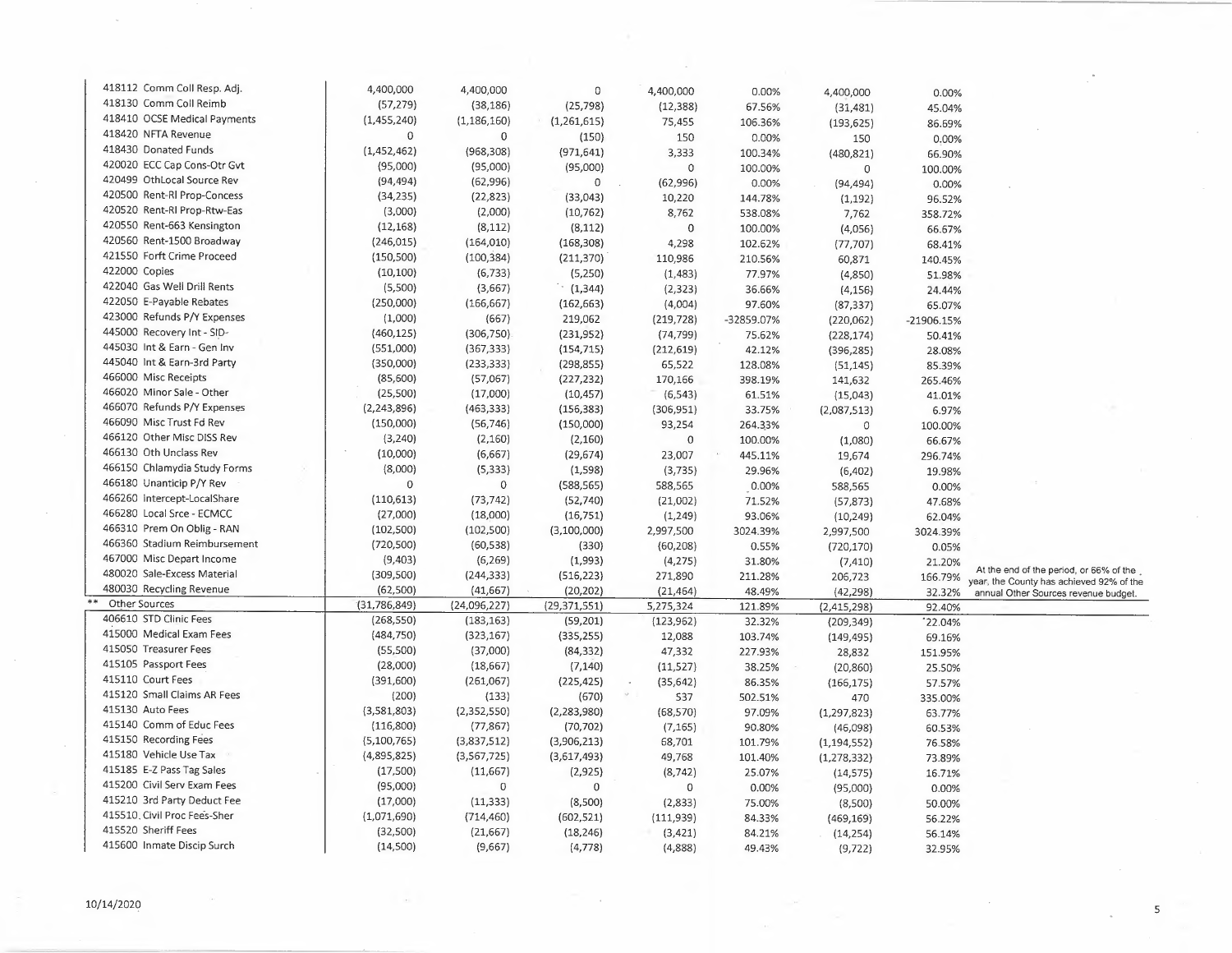| 418112 Comm Coll Resp. Adj.  | 4,400,000      | 4,400,000     | $\mathbb O$    | 4,400,000        | 0.00%      | 4,400,000     | 0.00%      |                                                                                      |
|------------------------------|----------------|---------------|----------------|------------------|------------|---------------|------------|--------------------------------------------------------------------------------------|
| 418130 Comm Coll Reimb       | (57, 279)      | (38, 186)     | (25, 798)      | (12, 388)        | 67.56%     | (31, 481)     | 45.04%     |                                                                                      |
| 418410 OCSE Medical Payments | (1,455,240)    | (1, 186, 160) | (1,261,615)    | 75,455           | 106.36%    | (193, 625)    | 86.69%     |                                                                                      |
| 418420 NFTA Revenue          | 0              | $\mathbf 0$   | (150)          | 150              | 0.00%      | 150           | 0.00%      |                                                                                      |
| 418430 Donated Funds         | (1,452,462)    | (968, 308)    | (971, 641)     | 3,333            | 100.34%    | (480, 821)    | 66.90%     |                                                                                      |
| 420020 ECC Cap Cons-Otr Gvt  | (95,000)       | (95,000)      | (95,000)       | $\pmb 0$         | 100.00%    | $\mathbf 0$   | 100.00%    |                                                                                      |
| 420499 OthLocal Source Rev   | (94, 494)      | (62, 996)     | $\mathbf 0$    | (62, 996)        | 0.00%      | (94, 494)     | 0.00%      |                                                                                      |
| 420500 Rent-RI Prop-Concess  | (34, 235)      | (22, 823)     | (33, 043)      | 10,220           | 144.78%    | (1, 192)      | 96.52%     |                                                                                      |
| 420520 Rent-RI Prop-Rtw-Eas  | (3,000)        | (2,000)       | (10, 762)      | 8,762            | 538.08%    | 7,762         | 358.72%    |                                                                                      |
| 420550 Rent-663 Kensington   | (12, 168)      | (8, 112)      | (8, 112)       | $\mathbf 0$      | 100.00%    | (4,056)       | 66.67%     |                                                                                      |
| 420560 Rent-1500 Broadway    | (246, 015)     | (164, 010)    | (168, 308)     | 4,298            | 102.62%    | (77, 707)     | 68.41%     |                                                                                      |
| 421550 Forft Crime Proceed   | (150, 500)     | (100, 384)    | (211, 370)     | 110,986          | 210.56%    | 60,871        | 140.45%    |                                                                                      |
| 422000 Copies                | (10, 100)      | (6, 733)      | (5,250)        | (1,483)          | 77.97%     | (4,850)       | 51.98%     |                                                                                      |
| 422040 Gas Well Drill Rents  | (5,500)        | (3,667)       | (1,344)        | (2, 323)         | 36.66%     | (4, 156)      | 24.44%     |                                                                                      |
| 422050 E-Payable Rebates     | (250,000)      | (166, 667)    | (162, 663)     | (4,004)          | 97.60%     |               |            |                                                                                      |
| 423000 Refunds P/Y Expenses  | (1,000)        | (667)         | 219,062        |                  | -32859.07% | (87, 337)     | 65.07%     |                                                                                      |
| 445000 Recovery Int - SID-   | (460, 125)     | (306, 750)    | (231, 952)     | (219, 728)       |            | (220,062)     | -21906.15% |                                                                                      |
| 445030 Int & Earn - Gen Inv  | (551,000)      |               |                | (74, 799)        | 75.62%     | (228, 174)    | 50.41%     |                                                                                      |
| 445040 Int & Earn-3rd Party  |                | (367, 333)    | (154, 715)     | (212, 619)       | 42.12%     | (396, 285)    | 28.08%     |                                                                                      |
| 466000 Misc Receipts         | (350,000)      | (233, 333)    | (298, 855)     | 65,522           | 128.08%    | (51, 145)     | 85.39%     |                                                                                      |
| 466020 Minor Sale - Other    | (85,600)       | (57,067)      | (227, 232)     | 170,166          | 398.19%    | 141,632       | 265.46%    |                                                                                      |
| 466070 Refunds P/Y Expenses  | (25,500)       | (17,000)      | (10, 457)      | (6, 543)         | 61.51%     | (15,043)      | 41.01%     |                                                                                      |
|                              | (2, 243, 896)  | (463, 333)    | (156, 383)     | (306, 951)       | 33.75%     | (2,087,513)   | 6.97%      |                                                                                      |
| 466090 Misc Trust Fd Rev     | (150,000)      | (56, 746)     | (150,000)      | 93,254           | 264.33%    | $\circ$       | 100.00%    |                                                                                      |
| 466120 Other Misc DISS Rev   | (3, 240)       | (2, 160)      | (2, 160)       | $\boldsymbol{0}$ | 100.00%    | (1,080)       | 66.67%     |                                                                                      |
| 466130 Oth Unclass Rev       | (10,000)       | (6,667)       | (29, 674)      | 23,007           | 445.11%    | 19,674        | 296.74%    |                                                                                      |
| 466150 Chlamydia Study Forms | (8,000)        | (5, 333)      | (1, 598)       | (3, 735)         | 29.96%     | (6, 402)      | 19.98%     |                                                                                      |
| 466180 Unanticip P/Y Rev     | $\mathbf 0$    | 0             | (588, 565)     | 588,565          | 0.00%      | 588,565       | 0.00%      |                                                                                      |
| 466260 Intercept-LocalShare  | (110, 613)     | (73, 742)     | (52, 740)      | (21,002)         | 71.52%     | (57, 873)     | 47.68%     |                                                                                      |
| 466280 Local Srce - ECMCC    | (27,000)       | (18,000)      | (16, 751)      | (1,249)          | 93.06%     | (10, 249)     | 62.04%     |                                                                                      |
| 466310 Prem On Oblig - RAN   | (102, 500)     | (102, 500)    | (3,100,000)    | 2,997,500        | 3024.39%   | 2,997,500     | 3024.39%   |                                                                                      |
| 466360 Stadium Reimbursement | (720, 500)     | (60, 538)     | (330)          | (60, 208)        | 0.55%      | (720, 170)    | 0.05%      |                                                                                      |
| 467000 Misc Depart Income    | (9,403)        | (6, 269)      | (1,993)        | (4, 275)         | 31.80%     | (7, 410)      | 21.20%     |                                                                                      |
| 480020 Sale-Excess Material  | (309, 500)     | (244, 333)    | (516, 223)     | 271,890          | 211.28%    | 206,723       | 166.79%    | At the end of the period, or 66% of the.<br>year, the County has achieved 92% of the |
| 480030 Recycling Revenue     | (62, 500)      | (41, 667)     | (20, 202)      | (21, 464)        | 48.49%     | (42, 298)     | 32.32%     | annual Other Sources revenue budget.                                                 |
| Other Sources                | (31, 786, 849) | (24,096,227)  | (29, 371, 551) | 5,275,324        | 121.89%    | (2,415,298)   | 92.40%     |                                                                                      |
| 406610 STD Clinic Fees       | (268, 550)     | (183, 163)    | (59, 201)      | (123, 962)       | 32.32%     | (209, 349)    | 22.04%     |                                                                                      |
| 415000 Medical Exam Fees     | (484, 750)     | (323, 167)    | (335, 255)     | 12,088           | 103.74%    | (149, 495)    | 69.16%     |                                                                                      |
| 415050 Treasurer Fees        | (55,500)       | (37,000)      | (84, 332)      | 47,332           | 227.93%    | 28,832        | 151.95%    |                                                                                      |
| 415105 Passport Fees         | (28,000)       | (18, 667)     | (7, 140)       | (11, 527)        | 38.25%     | (20, 860)     | 25.50%     |                                                                                      |
| 415110 Court Fees            | (391, 600)     | (261,067)     | (225, 425)     | (35, 642)        | 86.35%     | (166, 175)    | 57.57%     |                                                                                      |
| 415120 Small Claims AR Fees  | (200)          | (133)         | (670)          | 537              | 502.51%    | 470           | 335.00%    |                                                                                      |
| 415130 Auto Fees             | (3,581,803)    | (2,352,550)   | (2,283,980)    | (68, 570)        | 97.09%     | (1, 297, 823) | 63.77%     |                                                                                      |
| 415140 Comm of Educ Fees     | (116,800)      | (77, 867)     | (70, 702)      | (7, 165)         | 90.80%     | (46,098)      | 60.53%     |                                                                                      |
| 415150 Recording Fees        | (5,100,765)    | (3,837,512)   | (3,906,213)    | 68,701           | 101.79%    | (1, 194, 552) | 76.58%     |                                                                                      |
| 415180 Vehicle Use Tax       | (4,895,825)    | (3, 567, 725) | (3,617,493)    | 49,768           | 101.40%    | (1, 278, 332) | 73.89%     |                                                                                      |
| 415185 E-Z Pass Tag Sales    | (17,500)       | (11, 667)     | (2, 925)       | (8, 742)         | 25.07%     | (14, 575)     | 16.71%     |                                                                                      |
| 415200 Civil Serv Exam Fees  | (95,000)       | $\mathbf 0$   | $\mathbf 0$    | $\mathbf 0$      | 0.00%      | (95,000)      | 0.00%      |                                                                                      |
| 415210 3rd Party Deduct Fee  | (17,000)       | (11, 333)     | (8,500)        | (2,833)          | 75.00%     | (8,500)       | 50.00%     |                                                                                      |
| 415510, Civil Proc Fees-Sher | (1,071,690)    | (714, 460)    | (602, 521)     | (111, 939)       | 84.33%     | (469, 169)    | 56.22%     |                                                                                      |
| 415520 Sheriff Fees          | (32,500)       | (21, 667)     | (18, 246)      | (3, 421)         | 84.21%     | (14, 254)     | 56.14%     |                                                                                      |
| 415600 Inmate Discip Surch   | (14,500)       | (9,667)       | (4, 778)       | (4,888)          | 49.43%     | (9, 722)      | 32.95%     |                                                                                      |
|                              |                |               |                |                  |            |               |            |                                                                                      |

 $\sim$ 

 $\overline{\mathbf{5}}$ 

 $\bar{L}$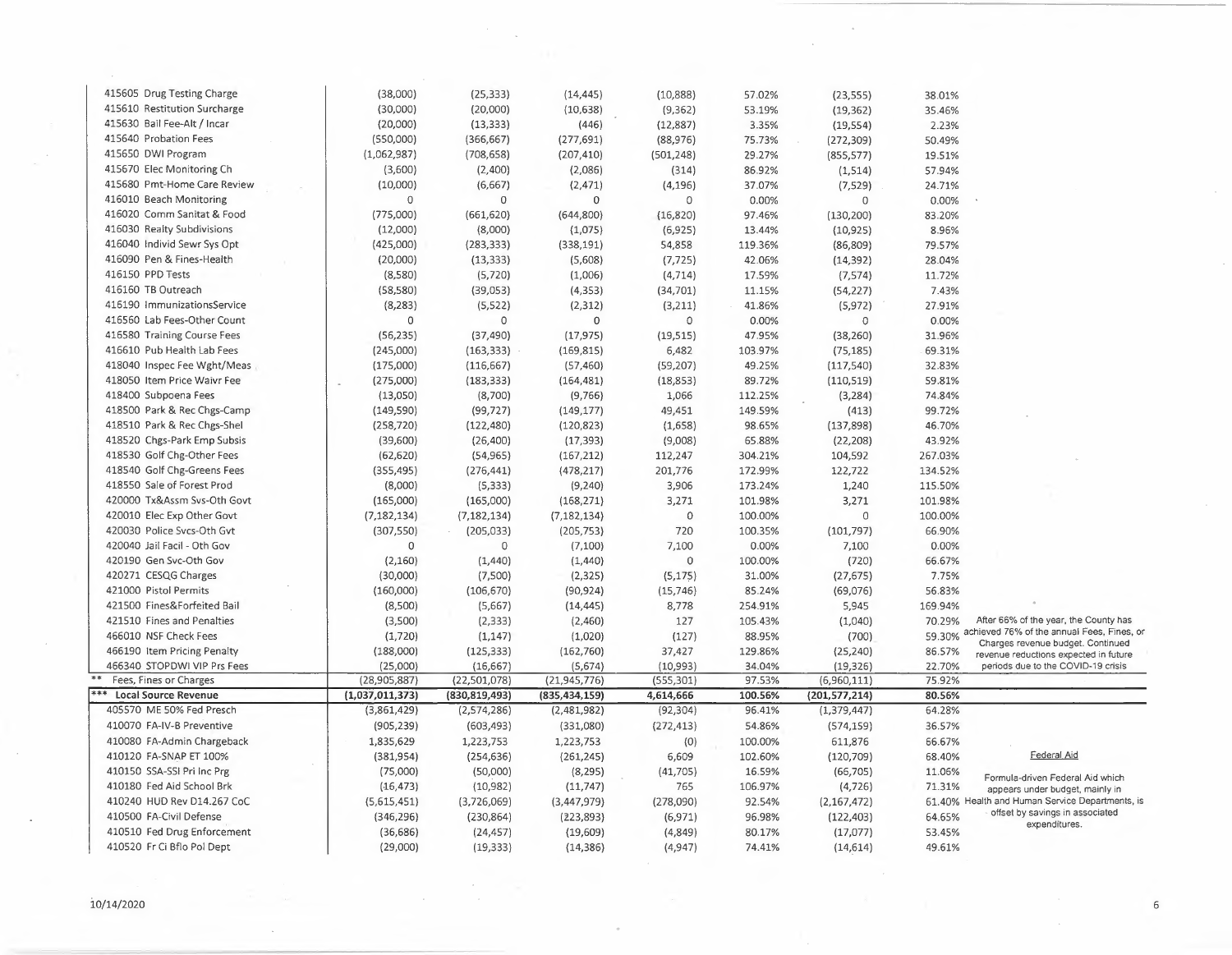| 415605 Drug Testing Charge   | (38,000)        | (25, 333)       | (14, 445)       | (10,888)   | 57.02%  | (23, 555)       | 38.01%  |                                                                                        |
|------------------------------|-----------------|-----------------|-----------------|------------|---------|-----------------|---------|----------------------------------------------------------------------------------------|
| 415610 Restitution Surcharge | (30,000)        | (20,000)        | (10, 638)       | (9, 362)   | 53.19%  | (19, 362)       | 35.46%  |                                                                                        |
| 415630 Bail Fee-Alt / Incar  | (20,000)        | (13, 333)       | (446)           | (12, 887)  | 3.35%   | (19, 554)       | 2.23%   |                                                                                        |
| 415640 Probation Fees        | (550,000)       | (366, 667)      | (277, 691)      | (88, 976)  | 75.73%  | (272, 309)      | 50.49%  |                                                                                        |
| 415650 DWI Program           | (1,062,987)     | (708, 658)      | (207, 410)      | (501, 248) | 29.27%  | (855, 577)      | 19.51%  |                                                                                        |
| 415670 Elec Monitoring Ch    | (3,600)         | (2,400)         | (2,086)         | (314)      | 86.92%  | (1, 514)        | 57.94%  |                                                                                        |
| 415680 Pmt-Home Care Review  | (10,000)        | (6,667)         | (2, 471)        | (4, 196)   | 37.07%  | (7, 529)        | 24.71%  |                                                                                        |
| 416010 Beach Monitoring      | $\mathbf 0$     | $\mathbf 0$     | $\Omega$        | 0          | 0.00%   | $\overline{0}$  | 0.00%   |                                                                                        |
| 416020 Comm Sanitat & Food   | (775,000)       | (661, 620)      | (644,800)       | (16, 820)  | 97.46%  | (130, 200)      | 83.20%  |                                                                                        |
| 416030 Realty Subdivisions   | (12,000)        | (8,000)         | (1,075)         | (6,925)    | 13.44%  | (10, 925)       | 8.96%   |                                                                                        |
| 416040 Individ Sewr Sys Opt  | (425,000)       | (283, 333)      | (338, 191)      | 54,858     | 119.36% |                 | 79.57%  |                                                                                        |
| 416090 Pen & Fines-Health    | (20,000)        | (13, 333)       | (5,608)         | (7, 725)   | 42.06%  | (86, 809)       | 28.04%  |                                                                                        |
| 416150 PPD Tests             |                 |                 |                 |            |         | (14, 392)       |         |                                                                                        |
| 416160 TB Outreach           | (8,580)         | (5, 720)        | (1,006)         | (4, 714)   | 17.59%  | (7,574)         | 11.72%  |                                                                                        |
|                              | (58, 580)       | (39,053)        | (4, 353)        | (34,701)   | 11.15%  | (54, 227)       | 7.43%   |                                                                                        |
| 416190 ImmunizationsService  | (8, 283)        | (5,522)         | (2, 312)        | (3,211)    | 41.86%  | (5, 972)        | 27.91%  |                                                                                        |
| 416560 Lab Fees-Other Count  | 0               | $\overline{0}$  | $\mathbf 0$     | $\circ$    | 0.00%   | $\circ$         | 0.00%   |                                                                                        |
| 416580 Training Course Fees  | (56, 235)       | (37, 490)       | (17, 975)       | (19, 515)  | 47.95%  | (38, 260)       | 31.96%  |                                                                                        |
| 416610 Pub Health Lab Fees   | (245,000)       | (163, 333)      | (169, 815)      | 6,482      | 103.97% | (75, 185)       | 69.31%  |                                                                                        |
| 418040 Inspec Fee Wght/Meas  | (175,000)       | (116, 667)      | (57, 460)       | (59, 207)  | 49.25%  | (117, 540)      | 32.83%  |                                                                                        |
| 418050 Item Price Waivr Fee  | (275,000)       | (183, 333)      | (164, 481)      | (18, 853)  | 89.72%  | (110, 519)      | 59.81%  |                                                                                        |
| 418400 Subpoena Fees         | (13,050)        | (8,700)         | (9,766)         | 1,066      | 112.25% | (3, 284)        | 74.84%  |                                                                                        |
| 418500 Park & Rec Chgs-Camp  | (149, 590)      | (99, 727)       | (149, 177)      | 49,451     | 149.59% | (413)           | 99.72%  |                                                                                        |
| 418510 Park & Rec Chgs-Shel  | (258, 720)      | (122, 480)      | (120, 823)      | (1,658)    | 98.65%  | (137, 898)      | 46.70%  |                                                                                        |
| 418520 Chgs-Park Emp Subsis  | (39,600)        | (26, 400)       | (17, 393)       | (9,008)    | 65.88%  | (22, 208)       | 43.92%  |                                                                                        |
| 418530 Golf Chg-Other Fees   | (62, 620)       | (54, 965)       | (167, 212)      | 112,247    | 304.21% | 104,592         | 267.03% |                                                                                        |
| 418540 Golf Chg-Greens Fees  | (355, 495)      | (276, 441)      | (478, 217)      | 201,776    | 172.99% | 122,722         | 134.52% |                                                                                        |
| 418550 Sale of Forest Prod   | (8,000)         | (5, 333)        | (9, 240)        | 3,906      | 173.24% | 1,240           | 115.50% |                                                                                        |
| 420000 Tx&Assm Svs-Oth Govt  | (165,000)       | (165,000)       | (168, 271)      | 3,271      | 101.98% | 3,271           | 101.98% |                                                                                        |
| 420010 Elec Exp Other Govt   | (7, 182, 134)   | (7, 182, 134)   | (7, 182, 134)   | 0          | 100.00% | $\overline{0}$  | 100.00% |                                                                                        |
| 420030 Police Svcs-Oth Gvt   | (307, 550)      | (205, 033)      | (205, 753)      | 720        | 100.35% | (101, 797)      | 66.90%  |                                                                                        |
| 420040 Jail Facil - Oth Gov  | 0               | $\circ$         | (7, 100)        | 7,100      | 0.00%   | 7,100           | 0.00%   |                                                                                        |
| 420190 Gen Svc-Oth Gov       | (2, 160)        | (1,440)         | (1, 440)        | 0          | 100.00% | (720)           | 66.67%  |                                                                                        |
| 420271 CESQG Charges         | (30,000)        | (7,500)         | (2, 325)        | (5, 175)   | 31.00%  | (27, 675)       | 7.75%   |                                                                                        |
| 421000 Pistol Permits        | (160,000)       | (106, 670)      | (90, 924)       | (15, 746)  | 85.24%  | (69,076)        | 56.83%  |                                                                                        |
| 421500 Fines&Forfeited Bail  | (8,500)         | (5,667)         | (14, 445)       | 8,778      | 254.91% | 5,945           | 169.94% |                                                                                        |
| 421510 Fines and Penalties   | (3,500)         | (2, 333)        | (2,460)         | 127        | 105.43% | (1,040)         | 70.29%  | After 66% of the year, the County has                                                  |
| 466010 NSF Check Fees        | (1, 720)        | (1, 147)        | (1,020)         | (127)      | 88.95%  | (700)           |         | 59.30% achieved 76% of the annual Fees, Fines, or<br>Charges revenue budget. Continued |
| 466190 Item Pricing Penalty  | (188,000)       | (125, 333)      | (162, 760)      | 37,427     | 129.86% | (25, 240)       | 86.57%  | revenue reductions expected in future                                                  |
| 466340 STOPDWI VIP Prs Fees  | (25,000)        | (16, 667)       | (5,674)         | (10,993)   | 34.04%  | (19, 326)       | 22.70%  | periods due to the COVID-19 crisis                                                     |
| Fees, Fines or Charges       | (28,905,887)    | (22,501,078)    | (21, 945, 776)  | (555, 301) | 97.53%  | (6,960,111)     | 75.92%  |                                                                                        |
| <b>Local Source Revenue</b>  | (1,037,011,373) | (830, 819, 493) | (835, 434, 159) | 4,614,666  | 100.56% | (201, 577, 214) | 80.56%  |                                                                                        |
| 405570 ME 50% Fed Presch     | (3,861,429)     | (2, 574, 286)   | (2,481,982)     | (92, 304)  | 96.41%  | (1, 379, 447)   | 64.28%  |                                                                                        |
| 410070 FA-IV-B Preventive    | (905, 239)      | (603, 493)      | (331,080)       | (272, 413) | 54.86%  | (574, 159)      | 36.57%  |                                                                                        |
| 410080 FA-Admin Chargeback   | 1,835,629       | 1,223,753       | 1,223,753       | (0)        | 100.00% | 611,876         | 66.67%  |                                                                                        |
| 410120 FA-SNAP ET 100%       | (381, 954)      | (254, 636)      | (261, 245)      | 6,609      | 102.60% | (120, 709)      | 68.40%  | Federal Aid                                                                            |
| 410150 SSA-SSI Pri Inc Prg   | (75,000)        | (50,000)        | (8, 295)        | (41, 705)  | 16.59%  | (66, 705)       | 11.06%  | Formula-driven Federal Aid which                                                       |
| 410180 Fed Aid School Brk    | (16, 473)       | (10, 982)       | (11, 747)       | 765        | 106.97% | (4, 726)        | 71.31%  | appears under budget, mainly in                                                        |
| 410240 HUD Rev D14.267 CoC   | (5,615,451)     | (3,726,069)     | (3,447,979)     | (278,090)  | 92.54%  | (2, 167, 472)   |         | 61.40% Health and Human Service Departments, is                                        |
| 410500 FA-Civil Defense      | (346, 296)      | (230, 864)      | (223, 893)      | (6, 971)   | 96.98%  | (122, 403)      | 64.65%  | offset by savings in associated                                                        |
| 410510 Fed Drug Enforcement  | (36, 686)       | (24, 457)       | (19,609)        | (4,849)    | 80.17%  | (17,077)        | 53.45%  | expenditures.                                                                          |
| 410520 Fr Ci Bflo Pol Dept   | (29,000)        | (19, 333)       | (14, 386)       | (4, 947)   | 74.41%  | (14, 614)       | 49.61%  |                                                                                        |

 $\lambda$ 

 $\sim$ 

 $\mathcal{L}$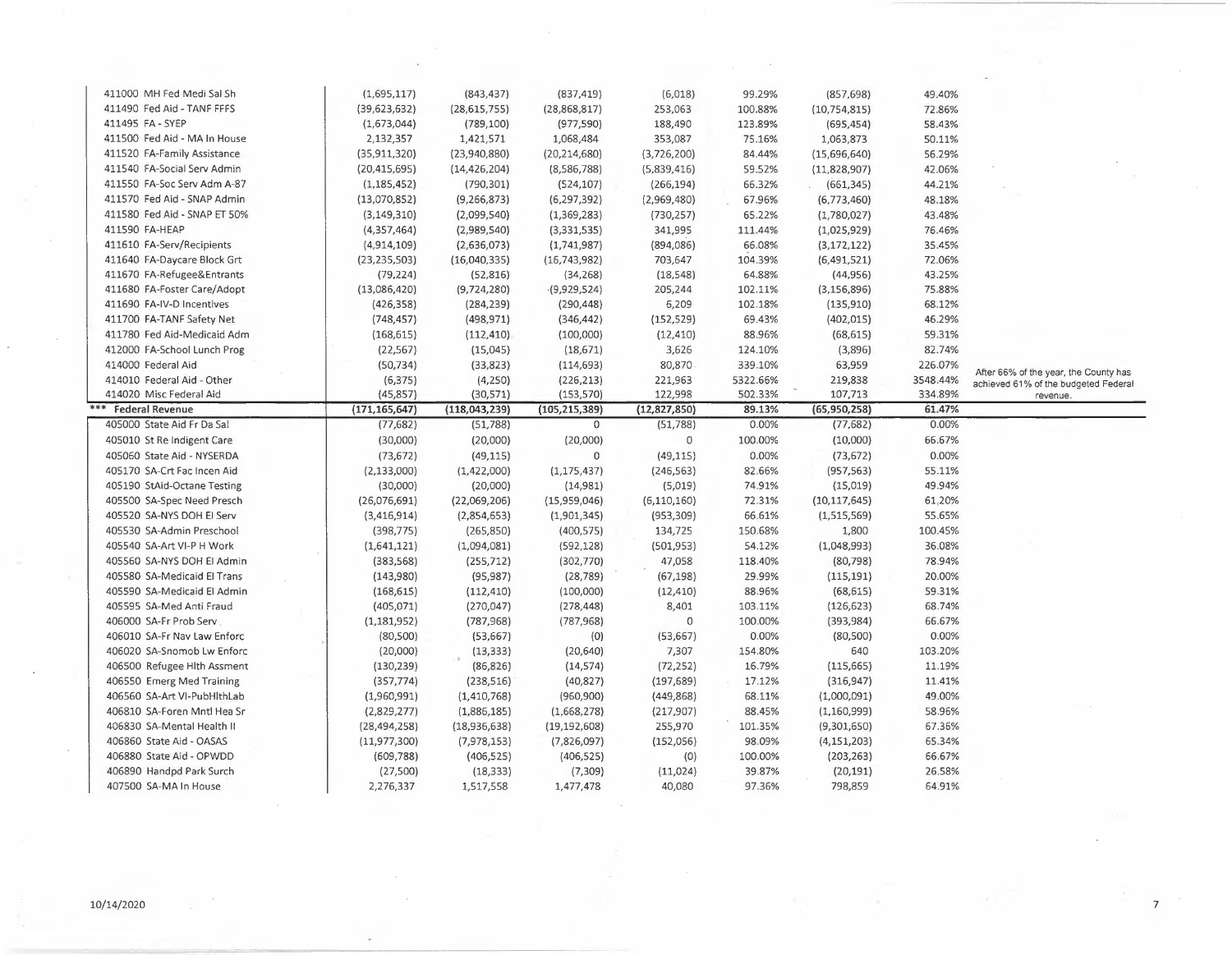| 411000 MH Fed Medi Sal Sh    | (1,695,117)     | (843, 437)      | (837, 419)      | (6,018)        | 99.29%   | (857, 698)     | 49.40%   |                                                  |
|------------------------------|-----------------|-----------------|-----------------|----------------|----------|----------------|----------|--------------------------------------------------|
| 411490 Fed Aid - TANF FFFS   | (39, 623, 632)  | (28, 615, 755)  | (28,868,817)    | 253,063        | 100.88%  | (10, 754, 815) | 72.86%   |                                                  |
| 411495 FA - SYEP             | (1,673,044)     | (789, 100)      | (977, 590)      | 188,490        | 123.89%  | (695, 454)     | 58.43%   |                                                  |
| 411500 Fed Aid - MA In House | 2,132,357       | 1,421,571       | 1,068,484       | 353,087        | 75.16%   | 1,063,873      | 50.11%   |                                                  |
| 411520 FA-Family Assistance  | (35, 911, 320)  | (23,940,880)    | (20, 214, 680)  | (3,726,200)    | 84.44%   | (15,696,640)   | 56.29%   |                                                  |
| 411540 FA-Social Serv Admin  | (20, 415, 695)  | (14, 426, 204)  | (8,586,788)     | (5,839,416)    | 59.52%   | (11, 828, 907) | 42.06%   |                                                  |
| 411550 FA-Soc Serv Adm A-87  | (1, 185, 452)   | (790, 301)      | (524, 107)      | (266, 194)     | 66.32%   | (661, 345)     | 44.21%   |                                                  |
| 411570 Fed Aid - SNAP Admin  | (13,070,852)    | (9, 266, 873)   | (6, 297, 392)   | (2,969,480)    | 67.96%   | (6,773,460)    | 48.18%   |                                                  |
| 411580 Fed Aid - SNAP ET 50% | (3, 149, 310)   | (2,099,540)     | (1,369,283)     | (730, 257)     | 65.22%   | (1,780,027)    | 43.48%   |                                                  |
| 411590 FA-HEAP               | (4,357,464)     | (2,989,540)     | (3, 331, 535)   | 341,995        | 111.44%  | (1,025,929)    | 76.46%   |                                                  |
| 411610 FA-Serv/Recipients    | (4,914,109)     | (2,636,073)     | (1,741,987)     | (894,086)      | 66.08%   | (3, 172, 122)  | 35.45%   |                                                  |
| 411640 FA-Daycare Block Grt  | (23, 235, 503)  | (16,040,335)    | (16, 743, 982)  | 703,647        | 104.39%  | (6,491,521)    | 72.06%   |                                                  |
| 411670 FA-Refugee&Entrants   | (79, 224)       | (52, 816)       | (34, 268)       | (18, 548)      | 64.88%   | (44, 956)      | 43.25%   |                                                  |
| 411680 FA-Foster Care/Adopt  | (13,086,420)    | (9,724,280)     | $-(9,929,524)$  | 205,244        | 102.11%  | (3, 156, 896)  | 75.88%   |                                                  |
| 411690 FA-IV-D Incentives    | (426, 358)      | (284, 239)      | (290, 448)      | 6,209          | 102.18%  | (135, 910)     | 68.12%   |                                                  |
| 411700 FA-TANF Safety Net    | (748, 457)      | (498, 971)      | (346, 442)      | (152, 529)     | 69.43%   | (402, 015)     | 46.29%   |                                                  |
| 411780 Fed Aid-Medicaid Adm  | (168, 615)      | (112, 410)      | (100,000)       | (12, 410)      | 88.96%   | (68, 615)      | 59.31%   |                                                  |
| 412000 FA-School Lunch Prog  | (22, 567)       | (15,045)        | (18, 671)       | 3,626          | 124.10%  | (3,896)        | 82.74%   |                                                  |
| 414000 Federal Aid           | (50, 734)       | (33, 823)       | (114, 693)      | 80,870         | 339.10%  | 63,959         | 226.07%  |                                                  |
| 414010 Federal Aid - Other   | (6, 375)        | (4,250)         | (226, 213)      | 221,963        | 5322.66% | 219,838        | 3548.44% | After 66% of the year, the County has            |
| 414020 Misc Federal Aid      | (45, 857)       | (30, 571)       | (153, 570)      | 122,998        | 502.33%  | 107,713        | 334.89%  | achieved 61% of the budgeted Federal<br>revenue. |
| <b>Federal Revenue</b>       | (171, 165, 647) | (118, 043, 239) | (105, 215, 389) | (12, 827, 850) | 89.13%   | (65,950,258)   | 61.47%   |                                                  |
| 405000 State Aid Fr Da Sal   | (77, 682)       | (51, 788)       | $\mathbf 0$     | (51, 788)      | 0.00%    | (77, 682)      | 0.00%    |                                                  |
| 405010 St Re Indigent Care   | (30,000)        | (20,000)        | (20,000)        | $\circ$        | 100.00%  | (10,000)       | 66.67%   |                                                  |
| 405060 State Aid - NYSERDA   | (73, 672)       | (49, 115)       | $\circ$         | (49, 115)      | 0.00%    | (73, 672)      | 0.00%    |                                                  |
| 405170 SA-Crt Fac Incen Aid  | (2, 133, 000)   | (1,422,000)     | (1, 175, 437)   | (246, 563)     | 82.66%   | (957, 563)     | 55.11%   |                                                  |
| 405190 StAid-Octane Testing  | (30,000)        | (20,000)        | (14,981)        | (5,019)        | 74.91%   | (15,019)       | 49.94%   |                                                  |
| 405500 SA-Spec Need Presch   | (26,076,691)    | (22,069,206)    | (15,959,046)    | (6, 110, 160)  | 72.31%   | (10, 117, 645) | 61.20%   |                                                  |
| 405520 SA-NYS DOH EI Serv    | (3,416,914)     | (2,854,653)     | (1,901,345)     | (953, 309)     | 66.61%   | (1,515,569)    | 55.65%   |                                                  |
| 405530 SA-Admin Preschool    | (398, 775)      | (265, 850)      | (400, 575)      | 134,725        | 150.68%  | 1,800          | 100.45%  |                                                  |
| 405540 SA-Art VI-P H Work    | (1,641,121)     | (1,094,081)     | (592, 128)      | (501, 953)     | 54.12%   | (1,048,993)    | 36.08%   |                                                  |
| 405560 SA-NYS DOH EI Admin   | (383, 568)      | (255, 712)      | (302, 770)      | 47,058         | 118.40%  | (80, 798)      | 78.94%   |                                                  |
| 405580 SA-Medicaid El Trans  | (143,980)       | (95, 987)       | (28, 789)       | (67, 198)      | 29.99%   | (115, 191)     | 20.00%   |                                                  |
| 405590 SA-Medicaid El Admin  | (168, 615)      | (112, 410)      | (100,000)       | (12, 410)      | 88.96%   | (68, 615)      | 59.31%   |                                                  |
| 405595 SA-Med Anti Fraud     | (405, 071)      | (270, 047)      | (278, 448)      | 8,401          | 103.11%  | (126, 623)     | 68.74%   |                                                  |
| 406000 SA-Fr Prob Serv       | (1, 181, 952)   | (787, 968)      | (787, 968)      | $\circ$        | 100.00%  | (393, 984)     | 66.67%   |                                                  |
| 406010 SA-Fr Nav Law Enforc  | (80, 500)       | (53, 667)       | (0)             | (53, 667)      | 0.00%    | (80, 500)      | 0.00%    |                                                  |
| 406020 SA-Snomob Lw Enforc   | (20,000)        | (13, 333)       | (20, 640)       | 7,307          | 154.80%  | 640            | 103.20%  |                                                  |
| 406500 Refugee Hith Assment  | (130, 239)      | (86, 826)       | (14, 574)       | (72, 252)      | 16.79%   | (115, 665)     | 11.19%   |                                                  |
| 406550 Emerg Med Training    | (357, 774)      | (238, 516)      | (40, 827)       | (197, 689)     | 17.12%   | (316, 947)     | 11.41%   |                                                  |
| 406560 SA-Art VI-PubHithLab  | (1,960,991)     | (1,410,768)     | (960, 900)      | (449, 868)     | 68.11%   | (1,000,091)    | 49.00%   |                                                  |
| 406810 SA-Foren Mntl Hea Sr  | (2,829,277)     | (1,886,185)     | (1,668,278)     | (217, 907)     | 88.45%   | (1, 160, 999)  | 58.96%   |                                                  |
| 406830 SA-Mental Health II   | (28, 494, 258)  | (18,936,638)    | (19, 192, 608)  | 255,970        | 101.35%  | (9,301,650)    | 67.36%   |                                                  |
| 406860 State Aid - OASAS     | (11, 977, 300)  | (7, 978, 153)   | (7,826,097)     | (152, 056)     | 98.09%   | (4, 151, 203)  | 65.34%   |                                                  |
| 406880 State Aid - OPWDD     | (609, 788)      | (406, 525)      | (406, 525)      | (0)            | 100.00%  | (203, 263)     | 66.67%   |                                                  |
| 406890 Handpd Park Surch     | (27,500)        | (18, 333)       | (7,309)         | (11,024)       | 39.87%   | (20, 191)      | 26.58%   |                                                  |
| 407500 SA-MA In House        | 2,276,337       | 1,517,558       | 1,477,478       | 40,080         | 97.36%   | 798,859        | 64.91%   |                                                  |
|                              |                 |                 |                 |                |          |                |          |                                                  |

 $\sim$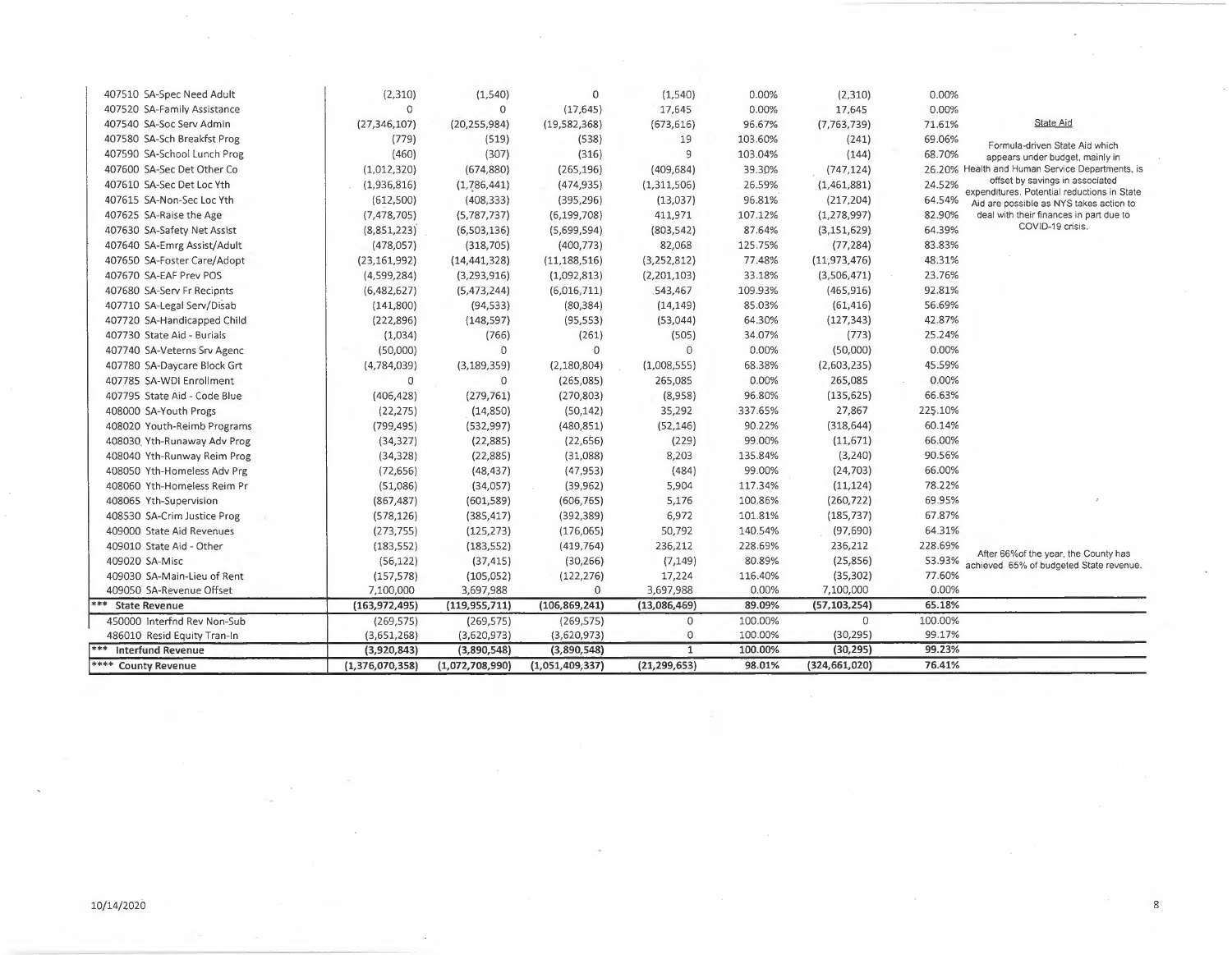| 407510 SA-Spec Need Adult    | (2,310)         | (1, 540)        | 0               | (1,540)        | 0.00%   | (2, 310)        | 0.00%   |                                                                                |
|------------------------------|-----------------|-----------------|-----------------|----------------|---------|-----------------|---------|--------------------------------------------------------------------------------|
| 407520 SA-Family Assistance  | $\Omega$        | 0               | (17, 645)       | 17,645         | 0.00%   | 17,645          | 0.00%   |                                                                                |
| 407540 SA-Soc Serv Admin     | (27, 346, 107)  | (20, 255, 984)  | (19, 582, 368)  | (673, 616)     | 96.67%  | (7, 763, 739)   | 71.61%  | State Aid                                                                      |
| 407580 SA-Sch Breakfst Prog  | (779)           | (519)           | (538)           | 19             | 103.60% | (241)           | 69.06%  | Formula-driven State Aid which                                                 |
| 407590 SA-School Lunch Prog  | (460)           | (307)           | (316)           | 9              | 103.04% | (144)           | 68.70%  | appears under budget, mainly in                                                |
| 407600 SA-Sec Det Other Co   | (1,012,320)     | (674, 880)      | (265, 196)      | (409, 684)     | 39.30%  | (747, 124)      |         | 26.20% Health and Human Service Departments, is                                |
| 407610 SA-Sec Det Loc Yth    | (1,936,816)     | (1,786,441)     | (474, 935)      | (1,311,506)    | 26.59%  | (1,461,881)     | 24.52%  | offset by savings in associated<br>expenditures. Potential reductions in State |
| 407615 SA-Non-Sec Loc Yth    | (612,500)       | (408, 333)      | (395, 296)      | (13,037)       | 96.81%  | (217, 204)      | 64.54%  | Aid are possible as NYS takes action to                                        |
| 407625 SA-Raise the Age      | (7, 478, 705)   | (5,787,737)     | (6, 199, 708)   | 411,971        | 107.12% | (1, 278, 997)   | 82.90%  | deal with their finances in part due to                                        |
| 407630 SA-Safety Net Assist  | (8,851,223)     | (6,503,136)     | (5,699,594)     | (803, 542)     | 87.64%  | (3, 151, 629)   | 64.39%  | COVID-19 crisis.                                                               |
| 407640 SA-Emrg Assist/Adult  | (478, 057)      | (318, 705)      | (400, 773)      | 82,068         | 125.75% | (77, 284)       | 83.83%  |                                                                                |
| 407650 SA-Foster Care/Adopt  | (23, 161, 992)  | (14, 441, 328)  | (11, 188, 516)  | (3, 252, 812)  | 77.48%  | (11, 973, 476)  | 48.31%  |                                                                                |
| 407670 SA-EAF Prev POS       | (4,599,284)     | (3,293,916)     | (1,092,813)     | (2,201,103)    | 33.18%  | (3,506,471)     | 23.76%  |                                                                                |
| 407680 SA-Serv Fr Recipnts   | (6,482,627)     | (5,473,244)     | (6,016,711)     | 543,467        | 109.93% | (465, 916)      | 92.81%  |                                                                                |
| 407710 SA-Legal Serv/Disab   | (141,800)       | (94, 533)       | (80, 384)       | (14, 149)      | 85.03%  | (61, 416)       | 56.69%  |                                                                                |
| 407720 SA-Handicapped Child  | (222, 896)      | (148, 597)      | (95, 553)       | (53,044)       | 64.30%  | (127, 343)      | 42.87%  |                                                                                |
| 407730 State Aid - Burials   | (1,034)         | (766)           | (261)           | (505)          | 34.07%  | (773)           | 25.24%  |                                                                                |
| 407740 SA-Veterns Srv Agenc  | (50,000)        | 0               | $\mathbf 0$     | $\circ$        | 0.00%   | (50,000)        | 0.00%   |                                                                                |
| 407780 SA-Daycare Block Grt  | (4,784,039)     | (3, 189, 359)   | (2, 180, 804)   | (1,008,555)    | 68.38%  | (2,603,235)     | 45.59%  |                                                                                |
| 407785 SA-WDI Enrollment     | 0               | 0               | (265,085)       | 265,085        | 0.00%   | 265,085         | 0.00%   |                                                                                |
| 407795 State Aid - Code Blue | (406, 428)      | (279, 761)      | (270, 803)      | (8,958)        | 96.80%  | (135, 625)      | 66.63%  |                                                                                |
| 408000 SA-Youth Progs        | (22, 275)       | (14, 850)       | (50, 142)       | 35,292         | 337.65% | 27,867          | 225.10% |                                                                                |
| 408020 Youth-Reimb Programs  | (799, 495)      | (532, 997)      | (480, 851)      | (52, 146)      | 90.22%  | (318, 644)      | 60.14%  |                                                                                |
| 408030 Yth-Runaway Adv Prog  | (34, 327)       | (22, 885)       | (22, 656)       | (229)          | 99.00%  | (11, 671)       | 66.00%  |                                                                                |
| 408040 Yth-Runway Reim Prog  | (34, 328)       | (22, 885)       | (31,088)        | 8,203          | 135.84% | (3, 240)        | 90.56%  |                                                                                |
| 408050 Yth-Homeless Adv Prg  | (72, 656)       | (48, 437)       | (47, 953)       | (484)          | 99.00%  | (24, 703)       | 66.00%  |                                                                                |
| 408060 Yth-Homeless Reim Pr  | (51,086)        | (34,057)        | (39, 962)       | 5,904          | 117.34% | (11, 124)       | 78.22%  |                                                                                |
| 408065 Yth-Supervision       | (867, 487)      | (601, 589)      | (606, 765)      | 5,176          | 100.86% | (260, 722)      | 69.95%  |                                                                                |
| 408530 SA-Crim Justice Prog  | (578, 126)      | (385, 417)      | (392, 389)      | 6,972          | 101.81% | (185, 737)      | 67.87%  |                                                                                |
| 409000 State Aid Revenues    | (273, 755)      | (125, 273)      | (176,065)       | 50,792         | 140.54% | (97, 690)       | 64.31%  |                                                                                |
| 409010 State Aid - Other     | (183, 552)      | (183, 552)      | (419, 764)      | 236,212        | 228.69% | 236,212         | 228.69% | After 66% of the year, the County has                                          |
| 409020 SA-Misc               | (56, 122)       | (37, 415)       | (30, 266)       | (7, 149)       | 80.89%  | (25, 856)       | 53.93%  | achieved 65% of budgeted State revenue.                                        |
| 409030 SA-Main-Lieu of Rent  | (157, 578)      | (105, 052)      | (122, 276)      | 17,224         | 116.40% | (35, 302)       | 77.60%  |                                                                                |
| 409050 SA-Revenue Offset     | 7,100,000       | 3,697,988       | $\Omega$        | 3,697,988      | 0.00%   | 7,100,000       | 0.00%   |                                                                                |
| <b>State Revenue</b>         | (163, 972, 495) | (119, 955, 711) | (106, 869, 241) | (13,086,469)   | 89.09%  | (57, 103, 254)  | 65.18%  |                                                                                |
| 450000 Interfnd Rev Non-Sub  | (269, 575)      | (269, 575)      | (269, 575)      | $\circ$        | 100.00% | 0               | 100.00% |                                                                                |
| 486010 Resid Equity Tran-In  | (3,651,268)     | (3,620,973)     | (3,620,973)     | $\circ$        | 100.00% | (30, 295)       | 99.17%  |                                                                                |
| <b>Interfund Revenue</b>     | (3,920,843)     | (3,890,548)     | (3,890,548)     | $\mathbf{1}$   | 100.00% | (30, 295)       | 99.23%  |                                                                                |
| **** County Revenue          | (1,376,070,358) | (1,072,708,990) | (1,051,409,337) | (21, 299, 653) | 98.01%  | (324, 661, 020) | 76.41%  |                                                                                |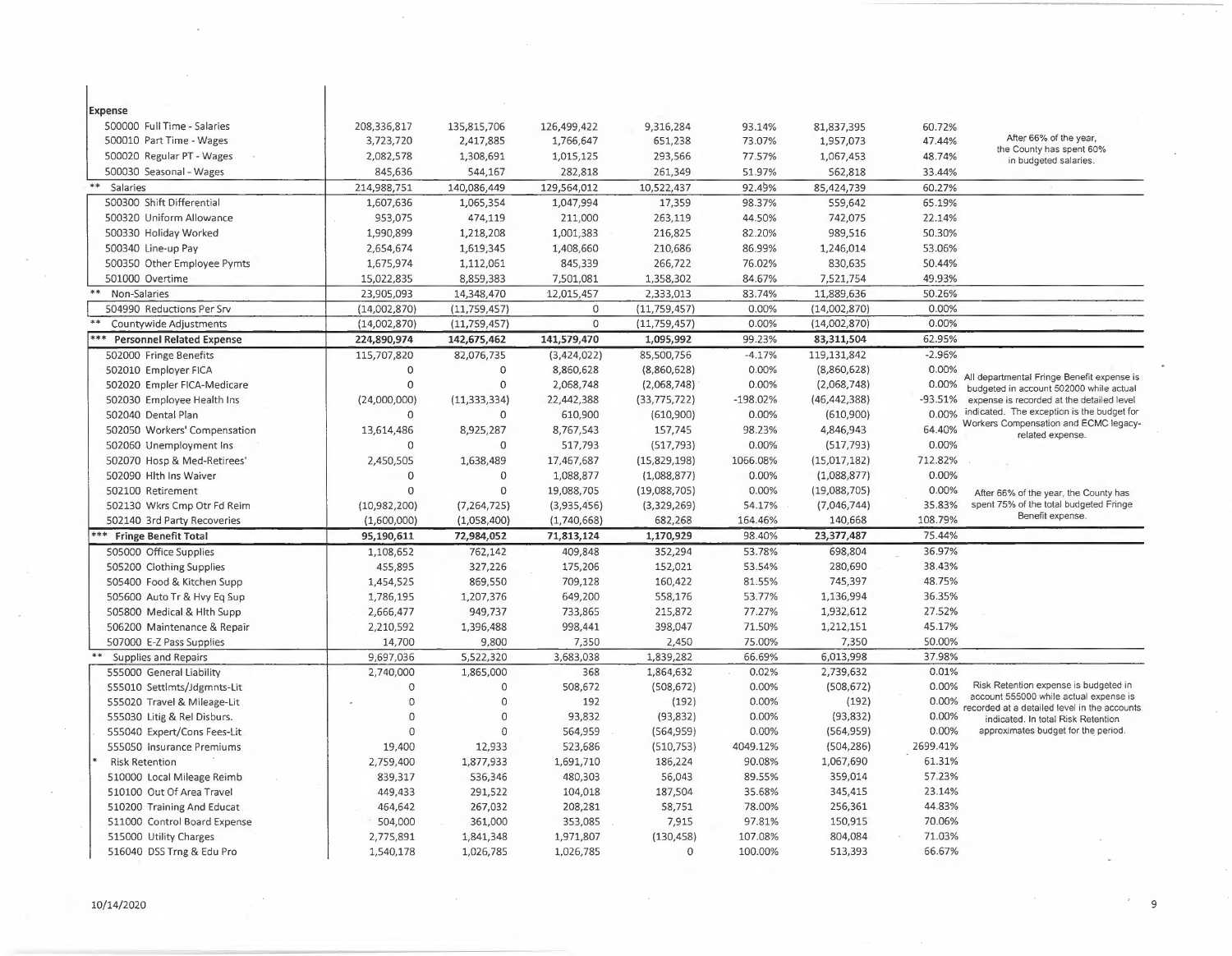| Expense<br>500000 Full Time - Salaries<br>208,336,817<br>135,815,706<br>9,316,284<br>126,499,422<br>93.14%<br>81,837,395<br>60.72%<br>After 66% of the year,<br>500010 Part Time - Wages<br>3,723,720<br>2,417,885<br>1,766,647<br>651,238<br>73.07%<br>1,957,073<br>47.44%<br>the County has spent 60%<br>500020 Regular PT - Wages<br>293,566<br>2,082,578<br>1,308,691<br>1,015,125<br>77.57%<br>1,067,453<br>48.74%<br>in budgeted salaries.<br>845,636<br>261,349<br>51.97%<br>33.44%<br>500030 Seasonal - Wages<br>544,167<br>282,818<br>562,818<br>$***$<br>214,988,751<br>140,086,449<br>129,564,012<br>10,522,437<br>92.49%<br>85,424,739<br>60.27%<br>Salaries<br>500300 Shift Differential<br>1,047,994<br>98.37%<br>559,642<br>1,607,636<br>1,065,354<br>17,359<br>65.19%<br>500320 Uniform Allowance<br>953,075<br>474,119<br>211,000<br>263,119<br>44.50%<br>742,075<br>22.14%<br>500330 Holiday Worked<br>1,990,899<br>1,218,208<br>1,001,383<br>216,825<br>82.20%<br>989,516<br>50.30%<br>210,686<br>86.99%<br>500340 Line-up Pay<br>2,654,674<br>1,619,345<br>1,408,660<br>1,246,014<br>53.06%<br>266,722<br>76.02%<br>50.44%<br>500350 Other Employee Pymts<br>1,675,974<br>1,112,061<br>845,339<br>830,635<br>501000 Overtime<br>15,022,835<br>8,859,383<br>7,501,081<br>1,358,302<br>84.67%<br>7,521,754<br>49.93%<br>**<br>Non-Salaries<br>12,015,457<br>2,333,013<br>83.74%<br>11,889,636<br>50.26%<br>23,905,093<br>14,348,470<br>0.00%<br>(11, 759, 457)<br>(11, 759, 457)<br>0.00%<br>(14,002,870)<br>504990 Reductions Per Srv<br>(14,002,870)<br>0<br>$\circ$<br>0.00%<br>0.00%<br>Countywide Adjustments<br>(14,002,870)<br>(11,759,457)<br>(11, 759, 457)<br>(14,002,870)<br>141,579,470<br>99.23%<br>62.95%<br><b>Personnel Related Expense</b><br>224,890,974<br>142,675,462<br>1,095,992<br>83, 311, 504<br>$-2.96%$<br>85,500,756<br>$-4.17%$<br>119,131,842<br>502000 Fringe Benefits<br>115,707,820<br>82,076,735<br>(3, 424, 022)<br>0.00%<br>502010 Employer FICA<br>$\Omega$<br>$\mathbf 0$<br>8,860,628<br>(8,860,628)<br>0.00%<br>(8,860,628)<br>All departmental Fringe Benefit expense is<br>$\mathbf 0$<br>$\mathbf 0$<br>0.00%<br>2,068,748<br>0.00%<br>(2,068,748)<br>502020 Empler FICA-Medicare<br>(2,068,748)<br>budgeted in account 502000 while actual<br>(11, 333, 334)<br>22,442,388<br>(33, 775, 722)<br>$-198.02%$<br>(46, 442, 388)<br>-93.51%<br>502030 Employee Health Ins<br>(24,000,000)<br>expense is recorded at the detailed level<br>indicated. The exception is the budget for<br>0.00%<br>502040 Dental Plan<br>$\mathbf{0}$<br>610,900<br>(610,900)<br>0.00%<br>(610,900)<br>0<br>Workers Compensation and ECMC legacy-<br>64.40%<br>8,925,287<br>8,767,543<br>157,745<br>98.23%<br>4,846,943<br>502050 Workers' Compensation<br>13,614,486<br>related expense.<br>0.00%<br>0.00%<br>502060 Unemployment Ins<br>$\Omega$<br>$\circ$<br>517,793<br>(517, 793)<br>(517, 793)<br>712.82%<br>502070 Hosp & Med-Retirees'<br>2,450,505<br>1,638,489<br>17,467,687<br>(15,829,198)<br>1066.08%<br>(15,017,182)<br>0.00%<br>502090 Hlth Ins Waiver<br>$\mathbf 0$<br>$\mathbf 0$<br>1,088,877<br>(1,088,877)<br>0.00%<br>(1,088,877)<br>$\Omega$<br>0.00%<br>0.00%<br>$\Omega$<br>19,088,705<br>(19,088,705)<br>(19,088,705)<br>502100 Retirement<br>After 66% of the year, the County has<br>35.83%<br>spent 75% of the total budgeted Fringe<br>502130 Wkrs Cmp Otr Fd Reim<br>(10,982,200)<br>(7, 264, 725)<br>(3,935,456)<br>(3,329,269)<br>54.17%<br>(7,046,744)<br>Benefit expense.<br>108.79%<br>682,268<br>164.46%<br>502140 3rd Party Recoveries<br>(1,600,000)<br>(1,058,400)<br>(1,740,668)<br>140,668 |
|------------------------------------------------------------------------------------------------------------------------------------------------------------------------------------------------------------------------------------------------------------------------------------------------------------------------------------------------------------------------------------------------------------------------------------------------------------------------------------------------------------------------------------------------------------------------------------------------------------------------------------------------------------------------------------------------------------------------------------------------------------------------------------------------------------------------------------------------------------------------------------------------------------------------------------------------------------------------------------------------------------------------------------------------------------------------------------------------------------------------------------------------------------------------------------------------------------------------------------------------------------------------------------------------------------------------------------------------------------------------------------------------------------------------------------------------------------------------------------------------------------------------------------------------------------------------------------------------------------------------------------------------------------------------------------------------------------------------------------------------------------------------------------------------------------------------------------------------------------------------------------------------------------------------------------------------------------------------------------------------------------------------------------------------------------------------------------------------------------------------------------------------------------------------------------------------------------------------------------------------------------------------------------------------------------------------------------------------------------------------------------------------------------------------------------------------------------------------------------------------------------------------------------------------------------------------------------------------------------------------------------------------------------------------------------------------------------------------------------------------------------------------------------------------------------------------------------------------------------------------------------------------------------------------------------------------------------------------------------------------------------------------------------------------------------------------------------------------------------------------------------------------------------------------------------------------------------------------------------------------------------------------------------------------------------------------------------------------------------------------------------------------------------------------------------------------------------------------------------------------------------------------------------------------------------------------------------------------------------------------------------------------------------------------------|
|                                                                                                                                                                                                                                                                                                                                                                                                                                                                                                                                                                                                                                                                                                                                                                                                                                                                                                                                                                                                                                                                                                                                                                                                                                                                                                                                                                                                                                                                                                                                                                                                                                                                                                                                                                                                                                                                                                                                                                                                                                                                                                                                                                                                                                                                                                                                                                                                                                                                                                                                                                                                                                                                                                                                                                                                                                                                                                                                                                                                                                                                                                                                                                                                                                                                                                                                                                                                                                                                                                                                                                                                                                                                              |
|                                                                                                                                                                                                                                                                                                                                                                                                                                                                                                                                                                                                                                                                                                                                                                                                                                                                                                                                                                                                                                                                                                                                                                                                                                                                                                                                                                                                                                                                                                                                                                                                                                                                                                                                                                                                                                                                                                                                                                                                                                                                                                                                                                                                                                                                                                                                                                                                                                                                                                                                                                                                                                                                                                                                                                                                                                                                                                                                                                                                                                                                                                                                                                                                                                                                                                                                                                                                                                                                                                                                                                                                                                                                              |
|                                                                                                                                                                                                                                                                                                                                                                                                                                                                                                                                                                                                                                                                                                                                                                                                                                                                                                                                                                                                                                                                                                                                                                                                                                                                                                                                                                                                                                                                                                                                                                                                                                                                                                                                                                                                                                                                                                                                                                                                                                                                                                                                                                                                                                                                                                                                                                                                                                                                                                                                                                                                                                                                                                                                                                                                                                                                                                                                                                                                                                                                                                                                                                                                                                                                                                                                                                                                                                                                                                                                                                                                                                                                              |
|                                                                                                                                                                                                                                                                                                                                                                                                                                                                                                                                                                                                                                                                                                                                                                                                                                                                                                                                                                                                                                                                                                                                                                                                                                                                                                                                                                                                                                                                                                                                                                                                                                                                                                                                                                                                                                                                                                                                                                                                                                                                                                                                                                                                                                                                                                                                                                                                                                                                                                                                                                                                                                                                                                                                                                                                                                                                                                                                                                                                                                                                                                                                                                                                                                                                                                                                                                                                                                                                                                                                                                                                                                                                              |
|                                                                                                                                                                                                                                                                                                                                                                                                                                                                                                                                                                                                                                                                                                                                                                                                                                                                                                                                                                                                                                                                                                                                                                                                                                                                                                                                                                                                                                                                                                                                                                                                                                                                                                                                                                                                                                                                                                                                                                                                                                                                                                                                                                                                                                                                                                                                                                                                                                                                                                                                                                                                                                                                                                                                                                                                                                                                                                                                                                                                                                                                                                                                                                                                                                                                                                                                                                                                                                                                                                                                                                                                                                                                              |
|                                                                                                                                                                                                                                                                                                                                                                                                                                                                                                                                                                                                                                                                                                                                                                                                                                                                                                                                                                                                                                                                                                                                                                                                                                                                                                                                                                                                                                                                                                                                                                                                                                                                                                                                                                                                                                                                                                                                                                                                                                                                                                                                                                                                                                                                                                                                                                                                                                                                                                                                                                                                                                                                                                                                                                                                                                                                                                                                                                                                                                                                                                                                                                                                                                                                                                                                                                                                                                                                                                                                                                                                                                                                              |
|                                                                                                                                                                                                                                                                                                                                                                                                                                                                                                                                                                                                                                                                                                                                                                                                                                                                                                                                                                                                                                                                                                                                                                                                                                                                                                                                                                                                                                                                                                                                                                                                                                                                                                                                                                                                                                                                                                                                                                                                                                                                                                                                                                                                                                                                                                                                                                                                                                                                                                                                                                                                                                                                                                                                                                                                                                                                                                                                                                                                                                                                                                                                                                                                                                                                                                                                                                                                                                                                                                                                                                                                                                                                              |
|                                                                                                                                                                                                                                                                                                                                                                                                                                                                                                                                                                                                                                                                                                                                                                                                                                                                                                                                                                                                                                                                                                                                                                                                                                                                                                                                                                                                                                                                                                                                                                                                                                                                                                                                                                                                                                                                                                                                                                                                                                                                                                                                                                                                                                                                                                                                                                                                                                                                                                                                                                                                                                                                                                                                                                                                                                                                                                                                                                                                                                                                                                                                                                                                                                                                                                                                                                                                                                                                                                                                                                                                                                                                              |
|                                                                                                                                                                                                                                                                                                                                                                                                                                                                                                                                                                                                                                                                                                                                                                                                                                                                                                                                                                                                                                                                                                                                                                                                                                                                                                                                                                                                                                                                                                                                                                                                                                                                                                                                                                                                                                                                                                                                                                                                                                                                                                                                                                                                                                                                                                                                                                                                                                                                                                                                                                                                                                                                                                                                                                                                                                                                                                                                                                                                                                                                                                                                                                                                                                                                                                                                                                                                                                                                                                                                                                                                                                                                              |
|                                                                                                                                                                                                                                                                                                                                                                                                                                                                                                                                                                                                                                                                                                                                                                                                                                                                                                                                                                                                                                                                                                                                                                                                                                                                                                                                                                                                                                                                                                                                                                                                                                                                                                                                                                                                                                                                                                                                                                                                                                                                                                                                                                                                                                                                                                                                                                                                                                                                                                                                                                                                                                                                                                                                                                                                                                                                                                                                                                                                                                                                                                                                                                                                                                                                                                                                                                                                                                                                                                                                                                                                                                                                              |
|                                                                                                                                                                                                                                                                                                                                                                                                                                                                                                                                                                                                                                                                                                                                                                                                                                                                                                                                                                                                                                                                                                                                                                                                                                                                                                                                                                                                                                                                                                                                                                                                                                                                                                                                                                                                                                                                                                                                                                                                                                                                                                                                                                                                                                                                                                                                                                                                                                                                                                                                                                                                                                                                                                                                                                                                                                                                                                                                                                                                                                                                                                                                                                                                                                                                                                                                                                                                                                                                                                                                                                                                                                                                              |
|                                                                                                                                                                                                                                                                                                                                                                                                                                                                                                                                                                                                                                                                                                                                                                                                                                                                                                                                                                                                                                                                                                                                                                                                                                                                                                                                                                                                                                                                                                                                                                                                                                                                                                                                                                                                                                                                                                                                                                                                                                                                                                                                                                                                                                                                                                                                                                                                                                                                                                                                                                                                                                                                                                                                                                                                                                                                                                                                                                                                                                                                                                                                                                                                                                                                                                                                                                                                                                                                                                                                                                                                                                                                              |
|                                                                                                                                                                                                                                                                                                                                                                                                                                                                                                                                                                                                                                                                                                                                                                                                                                                                                                                                                                                                                                                                                                                                                                                                                                                                                                                                                                                                                                                                                                                                                                                                                                                                                                                                                                                                                                                                                                                                                                                                                                                                                                                                                                                                                                                                                                                                                                                                                                                                                                                                                                                                                                                                                                                                                                                                                                                                                                                                                                                                                                                                                                                                                                                                                                                                                                                                                                                                                                                                                                                                                                                                                                                                              |
|                                                                                                                                                                                                                                                                                                                                                                                                                                                                                                                                                                                                                                                                                                                                                                                                                                                                                                                                                                                                                                                                                                                                                                                                                                                                                                                                                                                                                                                                                                                                                                                                                                                                                                                                                                                                                                                                                                                                                                                                                                                                                                                                                                                                                                                                                                                                                                                                                                                                                                                                                                                                                                                                                                                                                                                                                                                                                                                                                                                                                                                                                                                                                                                                                                                                                                                                                                                                                                                                                                                                                                                                                                                                              |
|                                                                                                                                                                                                                                                                                                                                                                                                                                                                                                                                                                                                                                                                                                                                                                                                                                                                                                                                                                                                                                                                                                                                                                                                                                                                                                                                                                                                                                                                                                                                                                                                                                                                                                                                                                                                                                                                                                                                                                                                                                                                                                                                                                                                                                                                                                                                                                                                                                                                                                                                                                                                                                                                                                                                                                                                                                                                                                                                                                                                                                                                                                                                                                                                                                                                                                                                                                                                                                                                                                                                                                                                                                                                              |
|                                                                                                                                                                                                                                                                                                                                                                                                                                                                                                                                                                                                                                                                                                                                                                                                                                                                                                                                                                                                                                                                                                                                                                                                                                                                                                                                                                                                                                                                                                                                                                                                                                                                                                                                                                                                                                                                                                                                                                                                                                                                                                                                                                                                                                                                                                                                                                                                                                                                                                                                                                                                                                                                                                                                                                                                                                                                                                                                                                                                                                                                                                                                                                                                                                                                                                                                                                                                                                                                                                                                                                                                                                                                              |
|                                                                                                                                                                                                                                                                                                                                                                                                                                                                                                                                                                                                                                                                                                                                                                                                                                                                                                                                                                                                                                                                                                                                                                                                                                                                                                                                                                                                                                                                                                                                                                                                                                                                                                                                                                                                                                                                                                                                                                                                                                                                                                                                                                                                                                                                                                                                                                                                                                                                                                                                                                                                                                                                                                                                                                                                                                                                                                                                                                                                                                                                                                                                                                                                                                                                                                                                                                                                                                                                                                                                                                                                                                                                              |
|                                                                                                                                                                                                                                                                                                                                                                                                                                                                                                                                                                                                                                                                                                                                                                                                                                                                                                                                                                                                                                                                                                                                                                                                                                                                                                                                                                                                                                                                                                                                                                                                                                                                                                                                                                                                                                                                                                                                                                                                                                                                                                                                                                                                                                                                                                                                                                                                                                                                                                                                                                                                                                                                                                                                                                                                                                                                                                                                                                                                                                                                                                                                                                                                                                                                                                                                                                                                                                                                                                                                                                                                                                                                              |
|                                                                                                                                                                                                                                                                                                                                                                                                                                                                                                                                                                                                                                                                                                                                                                                                                                                                                                                                                                                                                                                                                                                                                                                                                                                                                                                                                                                                                                                                                                                                                                                                                                                                                                                                                                                                                                                                                                                                                                                                                                                                                                                                                                                                                                                                                                                                                                                                                                                                                                                                                                                                                                                                                                                                                                                                                                                                                                                                                                                                                                                                                                                                                                                                                                                                                                                                                                                                                                                                                                                                                                                                                                                                              |
|                                                                                                                                                                                                                                                                                                                                                                                                                                                                                                                                                                                                                                                                                                                                                                                                                                                                                                                                                                                                                                                                                                                                                                                                                                                                                                                                                                                                                                                                                                                                                                                                                                                                                                                                                                                                                                                                                                                                                                                                                                                                                                                                                                                                                                                                                                                                                                                                                                                                                                                                                                                                                                                                                                                                                                                                                                                                                                                                                                                                                                                                                                                                                                                                                                                                                                                                                                                                                                                                                                                                                                                                                                                                              |
|                                                                                                                                                                                                                                                                                                                                                                                                                                                                                                                                                                                                                                                                                                                                                                                                                                                                                                                                                                                                                                                                                                                                                                                                                                                                                                                                                                                                                                                                                                                                                                                                                                                                                                                                                                                                                                                                                                                                                                                                                                                                                                                                                                                                                                                                                                                                                                                                                                                                                                                                                                                                                                                                                                                                                                                                                                                                                                                                                                                                                                                                                                                                                                                                                                                                                                                                                                                                                                                                                                                                                                                                                                                                              |
|                                                                                                                                                                                                                                                                                                                                                                                                                                                                                                                                                                                                                                                                                                                                                                                                                                                                                                                                                                                                                                                                                                                                                                                                                                                                                                                                                                                                                                                                                                                                                                                                                                                                                                                                                                                                                                                                                                                                                                                                                                                                                                                                                                                                                                                                                                                                                                                                                                                                                                                                                                                                                                                                                                                                                                                                                                                                                                                                                                                                                                                                                                                                                                                                                                                                                                                                                                                                                                                                                                                                                                                                                                                                              |
|                                                                                                                                                                                                                                                                                                                                                                                                                                                                                                                                                                                                                                                                                                                                                                                                                                                                                                                                                                                                                                                                                                                                                                                                                                                                                                                                                                                                                                                                                                                                                                                                                                                                                                                                                                                                                                                                                                                                                                                                                                                                                                                                                                                                                                                                                                                                                                                                                                                                                                                                                                                                                                                                                                                                                                                                                                                                                                                                                                                                                                                                                                                                                                                                                                                                                                                                                                                                                                                                                                                                                                                                                                                                              |
|                                                                                                                                                                                                                                                                                                                                                                                                                                                                                                                                                                                                                                                                                                                                                                                                                                                                                                                                                                                                                                                                                                                                                                                                                                                                                                                                                                                                                                                                                                                                                                                                                                                                                                                                                                                                                                                                                                                                                                                                                                                                                                                                                                                                                                                                                                                                                                                                                                                                                                                                                                                                                                                                                                                                                                                                                                                                                                                                                                                                                                                                                                                                                                                                                                                                                                                                                                                                                                                                                                                                                                                                                                                                              |
|                                                                                                                                                                                                                                                                                                                                                                                                                                                                                                                                                                                                                                                                                                                                                                                                                                                                                                                                                                                                                                                                                                                                                                                                                                                                                                                                                                                                                                                                                                                                                                                                                                                                                                                                                                                                                                                                                                                                                                                                                                                                                                                                                                                                                                                                                                                                                                                                                                                                                                                                                                                                                                                                                                                                                                                                                                                                                                                                                                                                                                                                                                                                                                                                                                                                                                                                                                                                                                                                                                                                                                                                                                                                              |
|                                                                                                                                                                                                                                                                                                                                                                                                                                                                                                                                                                                                                                                                                                                                                                                                                                                                                                                                                                                                                                                                                                                                                                                                                                                                                                                                                                                                                                                                                                                                                                                                                                                                                                                                                                                                                                                                                                                                                                                                                                                                                                                                                                                                                                                                                                                                                                                                                                                                                                                                                                                                                                                                                                                                                                                                                                                                                                                                                                                                                                                                                                                                                                                                                                                                                                                                                                                                                                                                                                                                                                                                                                                                              |
|                                                                                                                                                                                                                                                                                                                                                                                                                                                                                                                                                                                                                                                                                                                                                                                                                                                                                                                                                                                                                                                                                                                                                                                                                                                                                                                                                                                                                                                                                                                                                                                                                                                                                                                                                                                                                                                                                                                                                                                                                                                                                                                                                                                                                                                                                                                                                                                                                                                                                                                                                                                                                                                                                                                                                                                                                                                                                                                                                                                                                                                                                                                                                                                                                                                                                                                                                                                                                                                                                                                                                                                                                                                                              |
|                                                                                                                                                                                                                                                                                                                                                                                                                                                                                                                                                                                                                                                                                                                                                                                                                                                                                                                                                                                                                                                                                                                                                                                                                                                                                                                                                                                                                                                                                                                                                                                                                                                                                                                                                                                                                                                                                                                                                                                                                                                                                                                                                                                                                                                                                                                                                                                                                                                                                                                                                                                                                                                                                                                                                                                                                                                                                                                                                                                                                                                                                                                                                                                                                                                                                                                                                                                                                                                                                                                                                                                                                                                                              |
|                                                                                                                                                                                                                                                                                                                                                                                                                                                                                                                                                                                                                                                                                                                                                                                                                                                                                                                                                                                                                                                                                                                                                                                                                                                                                                                                                                                                                                                                                                                                                                                                                                                                                                                                                                                                                                                                                                                                                                                                                                                                                                                                                                                                                                                                                                                                                                                                                                                                                                                                                                                                                                                                                                                                                                                                                                                                                                                                                                                                                                                                                                                                                                                                                                                                                                                                                                                                                                                                                                                                                                                                                                                                              |
| 98.40%<br>23,377,487<br>75.44%<br>95,190,611<br>72,984,052<br>71,813,124<br>1,170,929<br>*** Fringe Benefit Total                                                                                                                                                                                                                                                                                                                                                                                                                                                                                                                                                                                                                                                                                                                                                                                                                                                                                                                                                                                                                                                                                                                                                                                                                                                                                                                                                                                                                                                                                                                                                                                                                                                                                                                                                                                                                                                                                                                                                                                                                                                                                                                                                                                                                                                                                                                                                                                                                                                                                                                                                                                                                                                                                                                                                                                                                                                                                                                                                                                                                                                                                                                                                                                                                                                                                                                                                                                                                                                                                                                                                            |
| 352,294<br>36.97%<br>762,142<br>409,848<br>53.78%<br>698,804<br>505000 Office Supplies<br>1,108,652                                                                                                                                                                                                                                                                                                                                                                                                                                                                                                                                                                                                                                                                                                                                                                                                                                                                                                                                                                                                                                                                                                                                                                                                                                                                                                                                                                                                                                                                                                                                                                                                                                                                                                                                                                                                                                                                                                                                                                                                                                                                                                                                                                                                                                                                                                                                                                                                                                                                                                                                                                                                                                                                                                                                                                                                                                                                                                                                                                                                                                                                                                                                                                                                                                                                                                                                                                                                                                                                                                                                                                          |
| 38.43%<br>327,226<br>175,206<br>152,021<br>53.54%<br>280,690<br>505200 Clothing Supplies<br>455,895                                                                                                                                                                                                                                                                                                                                                                                                                                                                                                                                                                                                                                                                                                                                                                                                                                                                                                                                                                                                                                                                                                                                                                                                                                                                                                                                                                                                                                                                                                                                                                                                                                                                                                                                                                                                                                                                                                                                                                                                                                                                                                                                                                                                                                                                                                                                                                                                                                                                                                                                                                                                                                                                                                                                                                                                                                                                                                                                                                                                                                                                                                                                                                                                                                                                                                                                                                                                                                                                                                                                                                          |
| 709,128<br>160,422<br>81.55%<br>745,397<br>48.75%<br>505400 Food & Kitchen Supp<br>1,454,525<br>869,550                                                                                                                                                                                                                                                                                                                                                                                                                                                                                                                                                                                                                                                                                                                                                                                                                                                                                                                                                                                                                                                                                                                                                                                                                                                                                                                                                                                                                                                                                                                                                                                                                                                                                                                                                                                                                                                                                                                                                                                                                                                                                                                                                                                                                                                                                                                                                                                                                                                                                                                                                                                                                                                                                                                                                                                                                                                                                                                                                                                                                                                                                                                                                                                                                                                                                                                                                                                                                                                                                                                                                                      |
| 649,200<br>558,176<br>53.77%<br>1,136,994<br>36.35%<br>505600 Auto Tr & Hvy Eq Sup<br>1,786,195<br>1,207,376                                                                                                                                                                                                                                                                                                                                                                                                                                                                                                                                                                                                                                                                                                                                                                                                                                                                                                                                                                                                                                                                                                                                                                                                                                                                                                                                                                                                                                                                                                                                                                                                                                                                                                                                                                                                                                                                                                                                                                                                                                                                                                                                                                                                                                                                                                                                                                                                                                                                                                                                                                                                                                                                                                                                                                                                                                                                                                                                                                                                                                                                                                                                                                                                                                                                                                                                                                                                                                                                                                                                                                 |
| 27.52%<br>949,737<br>215,872<br>77.27%<br>1,932,612<br>505800 Medical & Hlth Supp<br>2,666,477<br>733,865                                                                                                                                                                                                                                                                                                                                                                                                                                                                                                                                                                                                                                                                                                                                                                                                                                                                                                                                                                                                                                                                                                                                                                                                                                                                                                                                                                                                                                                                                                                                                                                                                                                                                                                                                                                                                                                                                                                                                                                                                                                                                                                                                                                                                                                                                                                                                                                                                                                                                                                                                                                                                                                                                                                                                                                                                                                                                                                                                                                                                                                                                                                                                                                                                                                                                                                                                                                                                                                                                                                                                                    |
| 398,047<br>71.50%<br>1,212,151<br>45.17%<br>506200 Maintenance & Repair<br>2,210,592<br>1,396,488<br>998,441                                                                                                                                                                                                                                                                                                                                                                                                                                                                                                                                                                                                                                                                                                                                                                                                                                                                                                                                                                                                                                                                                                                                                                                                                                                                                                                                                                                                                                                                                                                                                                                                                                                                                                                                                                                                                                                                                                                                                                                                                                                                                                                                                                                                                                                                                                                                                                                                                                                                                                                                                                                                                                                                                                                                                                                                                                                                                                                                                                                                                                                                                                                                                                                                                                                                                                                                                                                                                                                                                                                                                                 |
| 7,350<br>75.00%<br>50.00%<br>507000 E-Z Pass Supplies<br>14,700<br>9,800<br>2,450<br>7,350                                                                                                                                                                                                                                                                                                                                                                                                                                                                                                                                                                                                                                                                                                                                                                                                                                                                                                                                                                                                                                                                                                                                                                                                                                                                                                                                                                                                                                                                                                                                                                                                                                                                                                                                                                                                                                                                                                                                                                                                                                                                                                                                                                                                                                                                                                                                                                                                                                                                                                                                                                                                                                                                                                                                                                                                                                                                                                                                                                                                                                                                                                                                                                                                                                                                                                                                                                                                                                                                                                                                                                                   |
| 5,522,320<br>3,683,038<br>66.69%<br>6,013,998<br>37.98%<br>Supplies and Repairs<br>9,697,036<br>1,839,282                                                                                                                                                                                                                                                                                                                                                                                                                                                                                                                                                                                                                                                                                                                                                                                                                                                                                                                                                                                                                                                                                                                                                                                                                                                                                                                                                                                                                                                                                                                                                                                                                                                                                                                                                                                                                                                                                                                                                                                                                                                                                                                                                                                                                                                                                                                                                                                                                                                                                                                                                                                                                                                                                                                                                                                                                                                                                                                                                                                                                                                                                                                                                                                                                                                                                                                                                                                                                                                                                                                                                                    |
| 368<br>0.02%<br>2,739,632<br>0.01%<br>2,740,000<br>1,865,000<br>1,864,632<br>555000 General Liability                                                                                                                                                                                                                                                                                                                                                                                                                                                                                                                                                                                                                                                                                                                                                                                                                                                                                                                                                                                                                                                                                                                                                                                                                                                                                                                                                                                                                                                                                                                                                                                                                                                                                                                                                                                                                                                                                                                                                                                                                                                                                                                                                                                                                                                                                                                                                                                                                                                                                                                                                                                                                                                                                                                                                                                                                                                                                                                                                                                                                                                                                                                                                                                                                                                                                                                                                                                                                                                                                                                                                                        |
| 0.00%<br>Risk Retention expense is budgeted in<br>$\circ$<br>$\Omega$<br>508,672<br>(508, 672)<br>0.00%<br>(508, 672)<br>555010 Settlmts/Jdgmnts-Lit                                                                                                                                                                                                                                                                                                                                                                                                                                                                                                                                                                                                                                                                                                                                                                                                                                                                                                                                                                                                                                                                                                                                                                                                                                                                                                                                                                                                                                                                                                                                                                                                                                                                                                                                                                                                                                                                                                                                                                                                                                                                                                                                                                                                                                                                                                                                                                                                                                                                                                                                                                                                                                                                                                                                                                                                                                                                                                                                                                                                                                                                                                                                                                                                                                                                                                                                                                                                                                                                                                                         |
| account 555000 while actual expense is<br>0.00%<br>$\circ$<br>$\Omega$<br>192<br>0.00%<br>(192)<br>555020 Travel & Mileage-Lit<br>(192)<br>recorded at a detailed level in the accounts                                                                                                                                                                                                                                                                                                                                                                                                                                                                                                                                                                                                                                                                                                                                                                                                                                                                                                                                                                                                                                                                                                                                                                                                                                                                                                                                                                                                                                                                                                                                                                                                                                                                                                                                                                                                                                                                                                                                                                                                                                                                                                                                                                                                                                                                                                                                                                                                                                                                                                                                                                                                                                                                                                                                                                                                                                                                                                                                                                                                                                                                                                                                                                                                                                                                                                                                                                                                                                                                                      |
| $\mathbf 0$<br>$\Omega$<br>93,832<br>0.00%<br>(93, 832)<br>0.00%<br>555030 Litig & Rel Disburs.<br>(93,832)<br>indicated. In total Risk Retention                                                                                                                                                                                                                                                                                                                                                                                                                                                                                                                                                                                                                                                                                                                                                                                                                                                                                                                                                                                                                                                                                                                                                                                                                                                                                                                                                                                                                                                                                                                                                                                                                                                                                                                                                                                                                                                                                                                                                                                                                                                                                                                                                                                                                                                                                                                                                                                                                                                                                                                                                                                                                                                                                                                                                                                                                                                                                                                                                                                                                                                                                                                                                                                                                                                                                                                                                                                                                                                                                                                            |
| $\circ$<br>$\Omega$<br>0.00%<br>approximates budget for the period.<br>564,959<br>(564, 959)<br>0.00%<br>(564, 959)<br>555040 Expert/Cons Fees-Lit                                                                                                                                                                                                                                                                                                                                                                                                                                                                                                                                                                                                                                                                                                                                                                                                                                                                                                                                                                                                                                                                                                                                                                                                                                                                                                                                                                                                                                                                                                                                                                                                                                                                                                                                                                                                                                                                                                                                                                                                                                                                                                                                                                                                                                                                                                                                                                                                                                                                                                                                                                                                                                                                                                                                                                                                                                                                                                                                                                                                                                                                                                                                                                                                                                                                                                                                                                                                                                                                                                                           |
| 555050 Insurance Premiums<br>19,400<br>12,933<br>523,686<br>(510, 753)<br>4049.12%<br>(504, 286)<br>2699.41%                                                                                                                                                                                                                                                                                                                                                                                                                                                                                                                                                                                                                                                                                                                                                                                                                                                                                                                                                                                                                                                                                                                                                                                                                                                                                                                                                                                                                                                                                                                                                                                                                                                                                                                                                                                                                                                                                                                                                                                                                                                                                                                                                                                                                                                                                                                                                                                                                                                                                                                                                                                                                                                                                                                                                                                                                                                                                                                                                                                                                                                                                                                                                                                                                                                                                                                                                                                                                                                                                                                                                                 |
| 61.31%<br>1,877,933<br>1,691,710<br>186,224<br>90.08%<br>1,067,690<br><b>Risk Retention</b><br>2,759,400                                                                                                                                                                                                                                                                                                                                                                                                                                                                                                                                                                                                                                                                                                                                                                                                                                                                                                                                                                                                                                                                                                                                                                                                                                                                                                                                                                                                                                                                                                                                                                                                                                                                                                                                                                                                                                                                                                                                                                                                                                                                                                                                                                                                                                                                                                                                                                                                                                                                                                                                                                                                                                                                                                                                                                                                                                                                                                                                                                                                                                                                                                                                                                                                                                                                                                                                                                                                                                                                                                                                                                     |
| 57.23%<br>536,346<br>480,303<br>56,043<br>89.55%<br>359,014<br>510000 Local Mileage Reimb<br>839,317                                                                                                                                                                                                                                                                                                                                                                                                                                                                                                                                                                                                                                                                                                                                                                                                                                                                                                                                                                                                                                                                                                                                                                                                                                                                                                                                                                                                                                                                                                                                                                                                                                                                                                                                                                                                                                                                                                                                                                                                                                                                                                                                                                                                                                                                                                                                                                                                                                                                                                                                                                                                                                                                                                                                                                                                                                                                                                                                                                                                                                                                                                                                                                                                                                                                                                                                                                                                                                                                                                                                                                         |
| 291,522<br>187,504<br>35.68%<br>345,415<br>23.14%<br>510100 Out Of Area Travel<br>449,433<br>104,018                                                                                                                                                                                                                                                                                                                                                                                                                                                                                                                                                                                                                                                                                                                                                                                                                                                                                                                                                                                                                                                                                                                                                                                                                                                                                                                                                                                                                                                                                                                                                                                                                                                                                                                                                                                                                                                                                                                                                                                                                                                                                                                                                                                                                                                                                                                                                                                                                                                                                                                                                                                                                                                                                                                                                                                                                                                                                                                                                                                                                                                                                                                                                                                                                                                                                                                                                                                                                                                                                                                                                                         |
| 44.83%<br>464,642<br>267,032<br>208,281<br>58,751<br>78.00%<br>256,361<br>510200 Training And Educat                                                                                                                                                                                                                                                                                                                                                                                                                                                                                                                                                                                                                                                                                                                                                                                                                                                                                                                                                                                                                                                                                                                                                                                                                                                                                                                                                                                                                                                                                                                                                                                                                                                                                                                                                                                                                                                                                                                                                                                                                                                                                                                                                                                                                                                                                                                                                                                                                                                                                                                                                                                                                                                                                                                                                                                                                                                                                                                                                                                                                                                                                                                                                                                                                                                                                                                                                                                                                                                                                                                                                                         |
|                                                                                                                                                                                                                                                                                                                                                                                                                                                                                                                                                                                                                                                                                                                                                                                                                                                                                                                                                                                                                                                                                                                                                                                                                                                                                                                                                                                                                                                                                                                                                                                                                                                                                                                                                                                                                                                                                                                                                                                                                                                                                                                                                                                                                                                                                                                                                                                                                                                                                                                                                                                                                                                                                                                                                                                                                                                                                                                                                                                                                                                                                                                                                                                                                                                                                                                                                                                                                                                                                                                                                                                                                                                                              |
| 511000 Control Board Expense<br>504,000<br>361,000<br>353,085<br>7,915<br>97.81%<br>150,915<br>70.06%                                                                                                                                                                                                                                                                                                                                                                                                                                                                                                                                                                                                                                                                                                                                                                                                                                                                                                                                                                                                                                                                                                                                                                                                                                                                                                                                                                                                                                                                                                                                                                                                                                                                                                                                                                                                                                                                                                                                                                                                                                                                                                                                                                                                                                                                                                                                                                                                                                                                                                                                                                                                                                                                                                                                                                                                                                                                                                                                                                                                                                                                                                                                                                                                                                                                                                                                                                                                                                                                                                                                                                        |
| 515000 Utility Charges<br>(130, 458)<br>107.08%<br>804,084<br>71.03%<br>2,775,891<br>1,841,348<br>1,971,807                                                                                                                                                                                                                                                                                                                                                                                                                                                                                                                                                                                                                                                                                                                                                                                                                                                                                                                                                                                                                                                                                                                                                                                                                                                                                                                                                                                                                                                                                                                                                                                                                                                                                                                                                                                                                                                                                                                                                                                                                                                                                                                                                                                                                                                                                                                                                                                                                                                                                                                                                                                                                                                                                                                                                                                                                                                                                                                                                                                                                                                                                                                                                                                                                                                                                                                                                                                                                                                                                                                                                                  |

 $\sim$   $\sim$ 

 $\sim$ 

 $\bar{z}$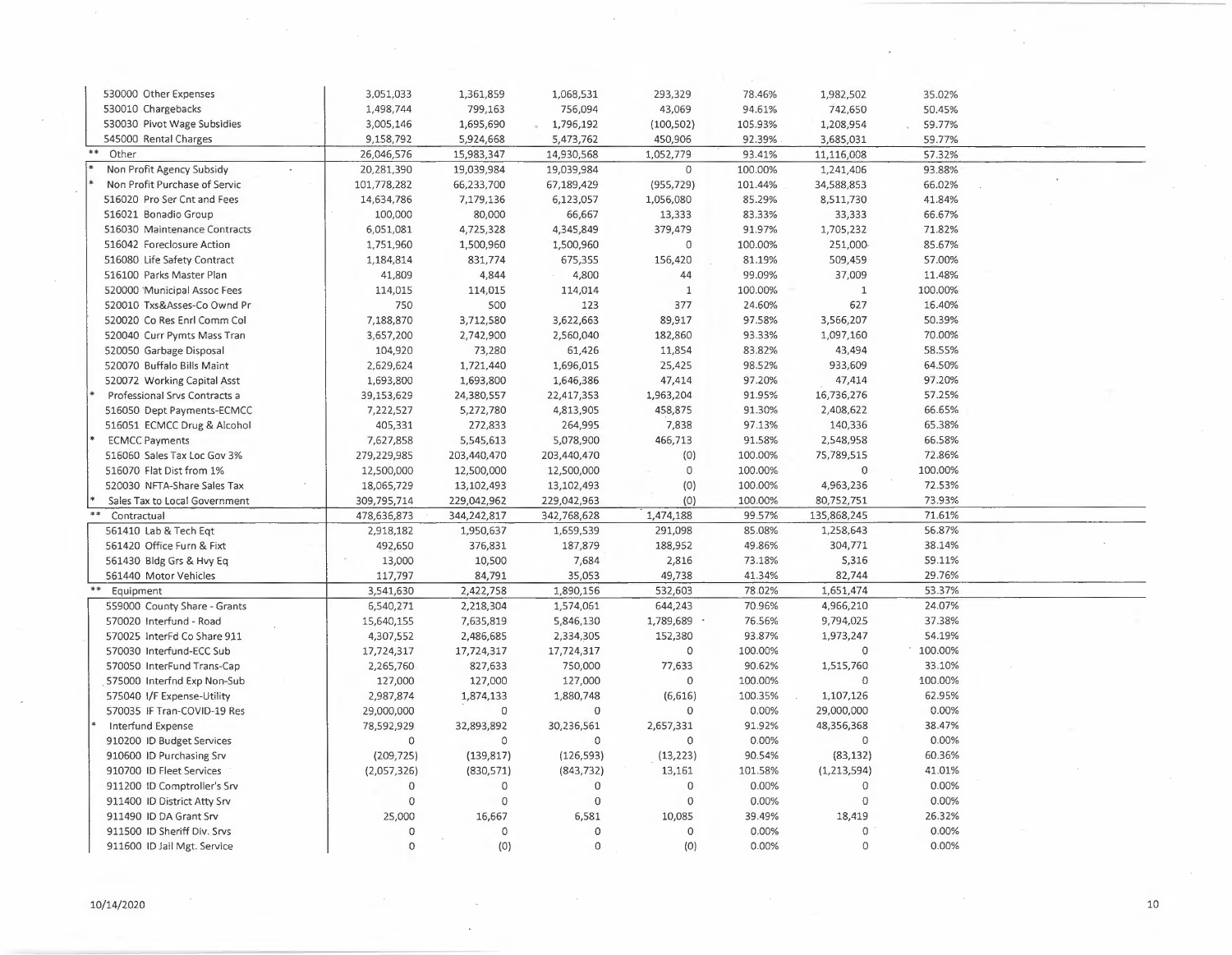| 530000 Other Expenses                             | 3,051,033   | 1,361,859   | 1,068,531   | 293,329             | 78.46%  | 1,982,502      | 35.02%  |  |
|---------------------------------------------------|-------------|-------------|-------------|---------------------|---------|----------------|---------|--|
| 530010 Chargebacks                                | 1,498,744   | 799,163     | 756,094     | 43,069              | 94.61%  | 742,650        | 50.45%  |  |
| 530030 Pivot Wage Subsidies                       | 3,005,146   | 1,695,690   | 1,796,192   | (100, 502)          | 105.93% | 1,208,954      | 59.77%  |  |
| 545000 Rental Charges                             | 9,158,792   | 5,924,668   | 5,473,762   | 450,906             | 92.39%  | 3,685,031      | 59.77%  |  |
| Other                                             | 26,046,576  | 15,983,347  | 14,930,568  | 1,052,779           | 93.41%  | 11,116,008     | 57.32%  |  |
| Non Profit Agency Subsidy<br>$\ddot{\phantom{a}}$ | 20,281,390  | 19,039,984  | 19,039,984  | $\mathbb O$         | 100.00% | 1,241,406      | 93.88%  |  |
| Non Profit Purchase of Servic                     | 101,778,282 | 66,233,700  | 67,189,429  | (955, 729)          | 101.44% | 34,588,853     | 66.02%  |  |
| 516020 Pro Ser Cnt and Fees                       | 14,634,786  | 7,179,136   | 6,123,057   | 1,056,080           | 85.29%  | 8,511,730      | 41.84%  |  |
| 516021 Bonadio Group                              | 100,000     | 80,000      | 66,667      | 13,333              | 83.33%  | 33,333         | 66.67%  |  |
| 516030 Maintenance Contracts                      | 6,051,081   | 4,725,328   | 4,345,849   | 379,479             | 91.97%  | 1,705,232      | 71.82%  |  |
| 516042 Foreclosure Action                         | 1,751,960   | 1,500,960   | 1,500,960   | $\mathbb O$         | 100.00% | 251,000        | 85.67%  |  |
| 516080 Life Safety Contract                       | 1,184,814   | 831,774     | 675,355     | 156,420             | 81.19%  | 509,459        | 57.00%  |  |
| 516100 Parks Master Plan                          | 41,809      | 4,844       | 4,800       | 44                  | 99.09%  | 37,009         | 11.48%  |  |
| 520000 'Municipal Assoc Fees                      | 114,015     | 114,015     | 114,014     | $\mathbf{1}$        | 100.00% | $\mathbf 1$    | 100.00% |  |
| 520010 Txs&Asses-Co Ownd Pr                       | 750         | 500         | 123         | 377                 | 24.60%  | 627            | 16.40%  |  |
| 520020 Co Res Enrl Comm Col                       | 7,188,870   | 3,712,580   | 3,622,663   | 89,917              | 97.58%  | 3,566,207      | 50.39%  |  |
| 520040 Curr Pymts Mass Tran                       | 3,657,200   | 2,742,900   | 2,560,040   | 182,860             | 93.33%  | 1,097,160      | 70.00%  |  |
| 520050 Garbage Disposal                           | 104,920     | 73,280      | 61,426      | 11,854              | 83.82%  | 43,494         | 58.55%  |  |
| 520070 Buffalo Bills Maint                        | 2,629,624   | 1,721,440   | 1,696,015   | 25,425              | 98.52%  | 933,609        | 64.50%  |  |
| 520072 Working Capital Asst                       | 1,693,800   | 1,693,800   | 1,646,386   | 47,414              | 97.20%  | 47,414         | 97.20%  |  |
| Professional Srvs Contracts a                     | 39,153,629  | 24,380,557  | 22,417,353  | 1,963,204           | 91.95%  | 16,736,276     | 57.25%  |  |
| 516050 Dept Payments-ECMCC                        | 7,222,527   | 5,272,780   | 4,813,905   | 458,875             | 91.30%  | 2,408,622      | 66.65%  |  |
| 516051 ECMCC Drug & Alcohol                       | 405,331     | 272,833     | 264,995     | 7,838               | 97.13%  | 140,336        | 65.38%  |  |
| <b>ECMCC Payments</b>                             | 7,627,858   | 5,545,613   | 5,078,900   | 466,713             | 91.58%  | 2,548,958      | 66.58%  |  |
| 516060 Sales Tax Loc Gov 3%                       | 279,229,985 | 203,440,470 | 203,440,470 | (0)                 | 100.00% | 75,789,515     | 72.86%  |  |
| 516070 Flat Dist from 1%                          |             |             |             | $\circ$             | 100.00% | $\overline{0}$ | 100.00% |  |
| 520030 NFTA-Share Sales Tax                       | 12,500,000  | 12,500,000  | 12,500,000  |                     | 100.00% |                | 72.53%  |  |
|                                                   | 18,065,729  | 13,102,493  | 13,102,493  | (0)                 |         | 4,963,236      |         |  |
| Sales Tax to Local Government                     | 309,795,714 | 229,042,962 | 229,042,963 | (0)                 | 100.00% | 80,752,751     | 73.93%  |  |
| Contractual                                       | 478,636,873 | 344,242,817 | 342,768,628 | 1,474,188           | 99.57%  | 135,868,245    | 71.61%  |  |
| 561410 Lab & Tech Eqt                             | 2,918,182   | 1,950,637   | 1,659,539   | 291,098             | 85.08%  | 1,258,643      | 56.87%  |  |
| 561420 Office Furn & Fixt                         | 492,650     | 376,831     | 187,879     | 188,952             | 49.86%  | 304,771        | 38.14%  |  |
| 561430 Bldg Grs & Hvy Eq                          | 13,000      | 10,500      | 7,684       | 2,816               | 73.18%  | 5,316          | 59.11%  |  |
| 561440 Motor Vehicles                             | 117,797     | 84,791      | 35,053      | 49,738              | 41.34%  | 82,744         | 29.76%  |  |
| Equipment                                         | 3,541,630   | 2,422,758   | 1,890,156   | 532,603             | 78.02%  | 1,651,474      | 53.37%  |  |
| 559000 County Share - Grants                      | 6,540,271   | 2,218,304   | 1,574,061   | 644,243             | 70.96%  | 4,966,210      | 24.07%  |  |
| 570020 Interfund - Road                           | 15,640,155  | 7,635,819   | 5,846,130   | 1,789,689           | 76.56%  | 9,794,025      | 37.38%  |  |
| 570025 InterFd Co Share 911                       | 4,307,552   | 2,486,685   | 2,334,305   | 152,380             | 93.87%  | 1,973,247      | 54.19%  |  |
| 570030 Interfund-ECC Sub                          | 17,724,317  | 17,724,317  | 17,724,317  | $\mathbf 0$         | 100.00% | $\circ$        | 100.00% |  |
| 570050 InterFund Trans-Cap                        | 2,265,760   | 827,633     | 750,000     | 77,633              | 90.62%  | 1,515,760      | 33.10%  |  |
| 575000 Interfnd Exp Non-Sub                       | 127,000     | 127,000     | 127,000     | $\circ$             | 100.00% | $\mathbf 0$    | 100.00% |  |
| 575040 I/F Expense-Utility                        | 2,987,874   | 1,874,133   | 1,880,748   | (6,616)             | 100.35% | 1,107,126      | 62.95%  |  |
| 570035 IF Tran-COVID-19 Res                       | 29,000,000  | 0           | $\Omega$    | 0                   | 0.00%   | 29,000,000     | 0.00%   |  |
| Interfund Expense                                 | 78,592,929  | 32,893,892  | 30,236,561  | 2,657,331           | 91.92%  | 48,356,368     | 38.47%  |  |
| 910200 ID Budget Services                         | 0           | 0           | $\mathbb O$ | $\circ$             | 0.00%   | $\mathbb O$    | 0.00%   |  |
| 910600 ID Purchasing Srv                          | (209, 725)  | (139, 817)  | (126, 593)  | (13, 223)           | 90.54%  | (83, 132)      | 60.36%  |  |
| 910700 ID Fleet Services                          | (2,057,326) | (830, 571)  | (843, 732)  | 13,161              | 101.58% | (1, 213, 594)  | 41.01%  |  |
| 911200 ID Comptroller's Srv                       | $\mathbf 0$ | $\circ$     | $\circ$     | $\mathbf 0$         | 0.00%   | $\circ$        | 0.00%   |  |
| 911400 ID District Atty Srv                       | $\Omega$    | $\circ$     | $\Omega$    | $\mathbf 0$         | 0.00%   | $\Omega$       | 0.00%   |  |
| 911490 ID DA Grant Srv                            | 25,000      | 16,667      | 6,581       | 10,085              | 39.49%  | 18,419         | 26.32%  |  |
| 911500 ID Sheriff Div. Srvs                       | $\Omega$    | $\circ$     | $\circ$     | $\mathsf{O}\xspace$ | 0.00%   | $\overline{0}$ | 0.00%   |  |
| 911600 ID Jail Mgt. Service                       | $\Omega$    | (0)         | $\circ$     | (0)                 | 0.00%   | $\circ$        | 0.00%   |  |
|                                                   |             |             |             |                     |         |                |         |  |

 $\sim$ 

 $\mathcal{A}$ 

 $\sim$ 

 $\left\langle \cdot \right\rangle$ 

 $\bar{z}$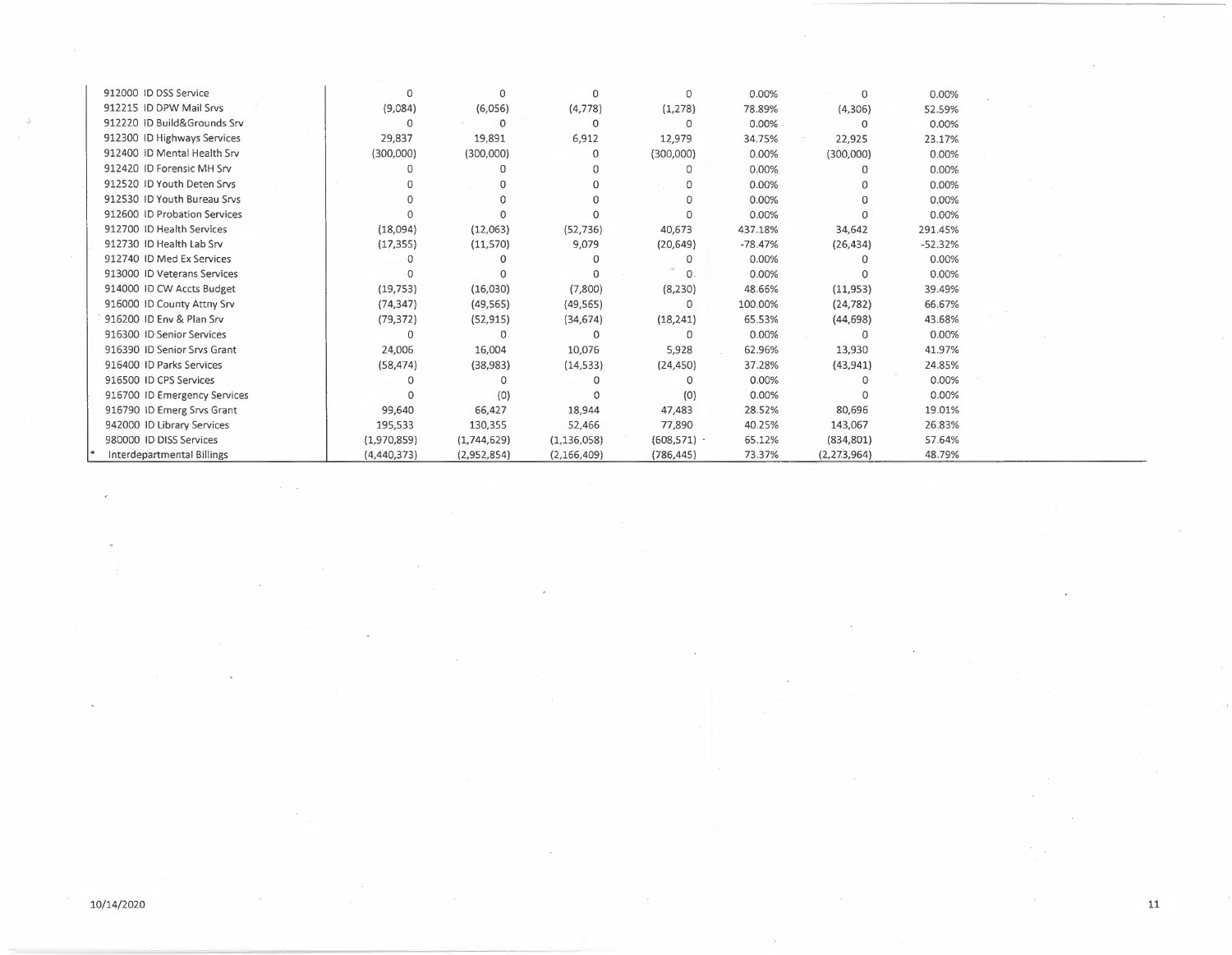| 912000 ID DSS Service        | $\Omega$    | $\Omega$    | ∩             | $\Omega$   | 0.00%     | $\Omega$      | 0.00%     |  |
|------------------------------|-------------|-------------|---------------|------------|-----------|---------------|-----------|--|
| 912215 ID DPW Mail Srvs      | (9,084)     | (6,056)     | (4, 778)      | (1,278)    | 78.89%    | (4,306)       | 52.59%    |  |
| 912220 ID Build&Grounds Srv  | 0           | $\Omega$    | 0             | 0          | 0.00%     | Ω             | 0.00%     |  |
| 912300 ID Highways Services  | 29,837      | 19,891      | 6,912         | 12,979     | 34.75%    | 22,925        | 23.17%    |  |
| 912400 ID Mental Health Srv  | (300,000)   | (300,000)   | $\Omega$      | (300,000)  | 0.00%     | (300,000)     | 0.00%     |  |
| 912420 ID Forensic MH Srv    |             |             |               | 0          | 0.00%     |               | 0.00%     |  |
| 912520 ID Youth Deten Srvs   |             |             | $\Omega$      | 0          | 0.00%     |               | 0.00%     |  |
| 912530 ID Youth Bureau Srvs  |             |             |               |            | 0.00%     |               | 0.00%     |  |
| 912600 ID Probation Services |             |             |               |            | 0.00%     |               | 0.00%     |  |
| 912700 ID Health Services    | (18,094)    | (12,063)    | (52, 736)     | 40,673     | 437.18%   | 34,642        | 291.45%   |  |
| 912730 ID Health Lab Srv     | (17, 355)   | (11, 570)   | 9,079         | (20, 649)  | $-78.47%$ | (26, 434)     | $-52.32%$ |  |
| 912740 ID Med Ex Services    |             |             | $\Omega$      | O.         | 0.00%     |               | 0.00%     |  |
| 913000 ID Veterans Services  |             |             | $\Omega$      | $\Omega$   | 0.00%     |               | 0.00%     |  |
| 914000 ID CW Accts Budget    | (19, 753)   | (16,030)    | (7,800)       | (8, 230)   | 48.66%    | (11,953)      | 39.49%    |  |
| 916000 ID County Attny Srv   | (74, 347)   | (49, 565)   | (49, 565)     | $\Omega$   | 100.00%   | (24, 782)     | 66.67%    |  |
| 916200 ID Env & Plan Srv     | (79, 372)   | (52, 915)   | (34, 674)     | (18, 241)  | 65.53%    | (44, 698)     | 43.68%    |  |
| 916300 ID Senior Services    | O           | $\Omega$    | $\Omega$      | 0          | 0.00%     |               | 0.00%     |  |
| 916390 ID Senior Srvs Grant  | 24,006      | 16,004      | 10,076        | 5,928      | 62.96%    | 13,930        | 41.97%    |  |
| 916400 ID Parks Services     | (58, 474)   | (38, 983)   | (14, 533)     | (24, 450)  | 37.28%    | (43, 941)     | 24.85%    |  |
| 916500 ID CPS Services       |             |             |               | 0          | 0.00%     |               | 0.00%     |  |
| 916700 ID Emergency Services |             | (0)         |               | (0)        | 0.00%     |               | 0.00%     |  |
| 916790 ID Emerg Srvs Grant   | 99,640      | 66,427      | 18,944        | 47,483     | 28.52%    | 80,696        | 19.01%    |  |
| 942000 ID Library Services   | 195,533     | 130,355     | 52,466        | 77,890     | 40.25%    | 143,067       | 26.83%    |  |
| 980000 ID DISS Services      | (1,970,859) | (1,744,629) | (1, 136, 058) | (608, 571) | 65.12%    | (834, 801)    | 57.64%    |  |
| Interdepartmental Billings   | (4,440,373) | (2,952,854) | (2, 166, 409) | (786.445)  | 73.37%    | (2, 273, 964) | 48.79%    |  |

 $\sim$  10  $\mu$